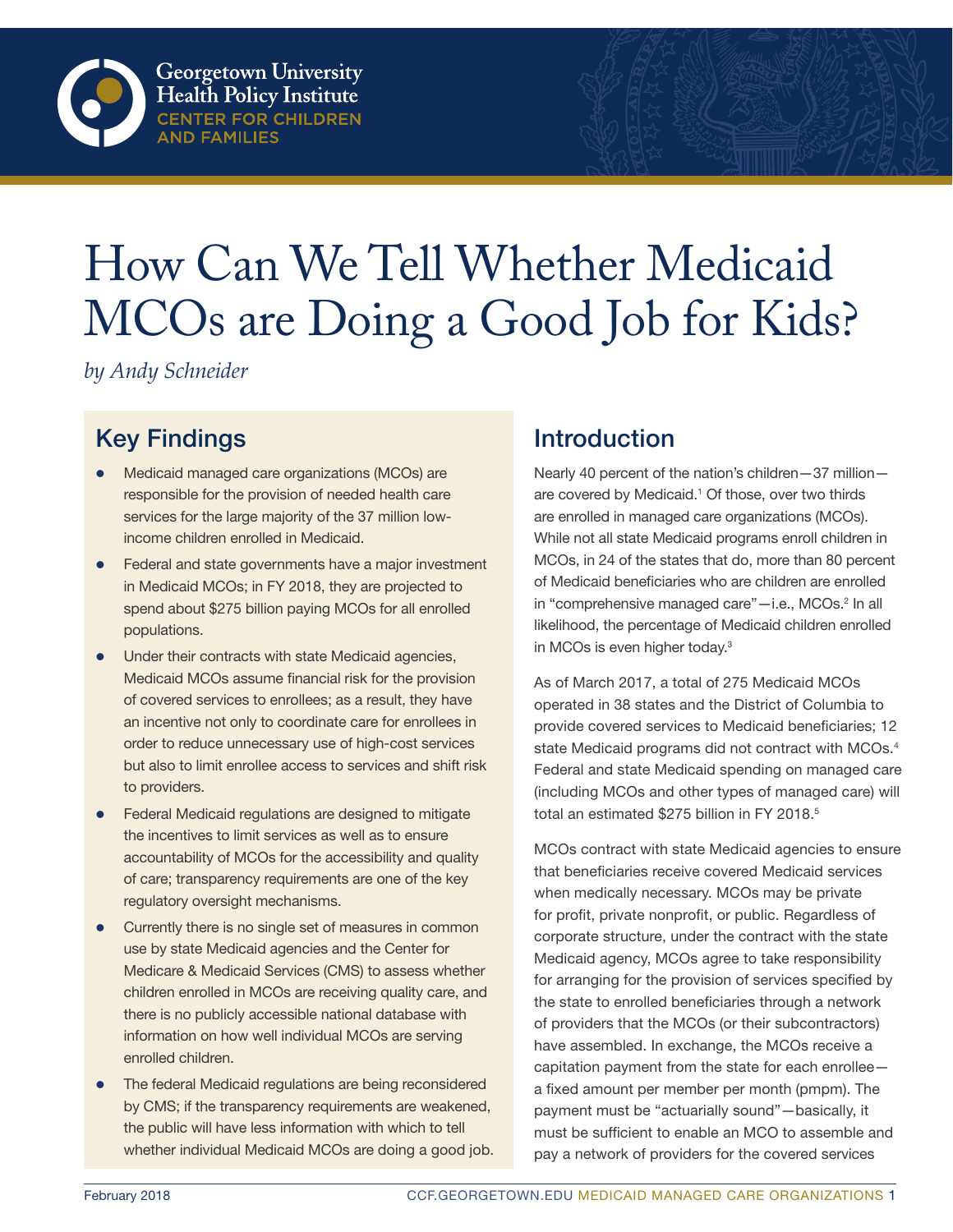# How Can We Tell Whether Medicaid MCOs are Doing a Good Job for Kids?

*by Andy Schneider*

## Key Findings

- Medicaid managed care organizations (MCOs) are responsible for the provision of needed health care services for the large majority of the 37 million lowincome children enrolled in Medicaid.
- Federal and state governments have a major investment in Medicaid MCOs; in FY 2018, they are projected to spend about \$275 billion paying MCOs for all enrolled populations.
- Under their contracts with state Medicaid agencies, Medicaid MCOs assume financial risk for the provision of covered services to enrollees; as a result, they have an incentive not only to coordinate care for enrollees in order to reduce unnecessary use of high-cost services but also to limit enrollee access to services and shift risk to providers.
- Federal Medicaid regulations are designed to mitigate the incentives to limit services as well as to ensure accountability of MCOs for the accessibility and quality of care; transparency requirements are one of the key regulatory oversight mechanisms.
- Currently there is no single set of measures in common use by state Medicaid agencies and the Center for Medicare & Medicaid Services (CMS) to assess whether children enrolled in MCOs are receiving quality care, and there is no publicly accessible national database with information on how well individual MCOs are serving enrolled children.
- The federal Medicaid regulations are being reconsidered by CMS; if the transparency requirements are weakened, the public will have less information with which to tell whether individual Medicaid MCOs are doing a good job.

### Introduction

Nearly 40 percent of the nation's children—37 million are covered by Medicaid.<sup>1</sup> Of those, over two thirds are enrolled in managed care organizations (MCOs). While not all state Medicaid programs enroll children in MCOs, in 24 of the states that do, more than 80 percent of Medicaid beneficiaries who are children are enrolled in "comprehensive managed care"-i.e., MCOs.<sup>2</sup> In all likelihood, the percentage of Medicaid children enrolled in MCOs is even higher today.3

As of March 2017, a total of 275 Medicaid MCOs operated in 38 states and the District of Columbia to provide covered services to Medicaid beneficiaries; 12 state Medicaid programs did not contract with MCOs.<sup>4</sup> Federal and state Medicaid spending on managed care (including MCOs and other types of managed care) will total an estimated \$275 billion in FY 2018.<sup>5</sup>

MCOs contract with state Medicaid agencies to ensure that beneficiaries receive covered Medicaid services when medically necessary. MCOs may be private for profit, private nonprofit, or public. Regardless of corporate structure, under the contract with the state Medicaid agency, MCOs agree to take responsibility for arranging for the provision of services specified by the state to enrolled beneficiaries through a network of providers that the MCOs (or their subcontractors) have assembled. In exchange, the MCOs receive a capitation payment from the state for each enrollee a fixed amount per member per month (pmpm). The payment must be "actuarially sound"—basically, it must be sufficient to enable an MCO to assemble and pay a network of providers for the covered services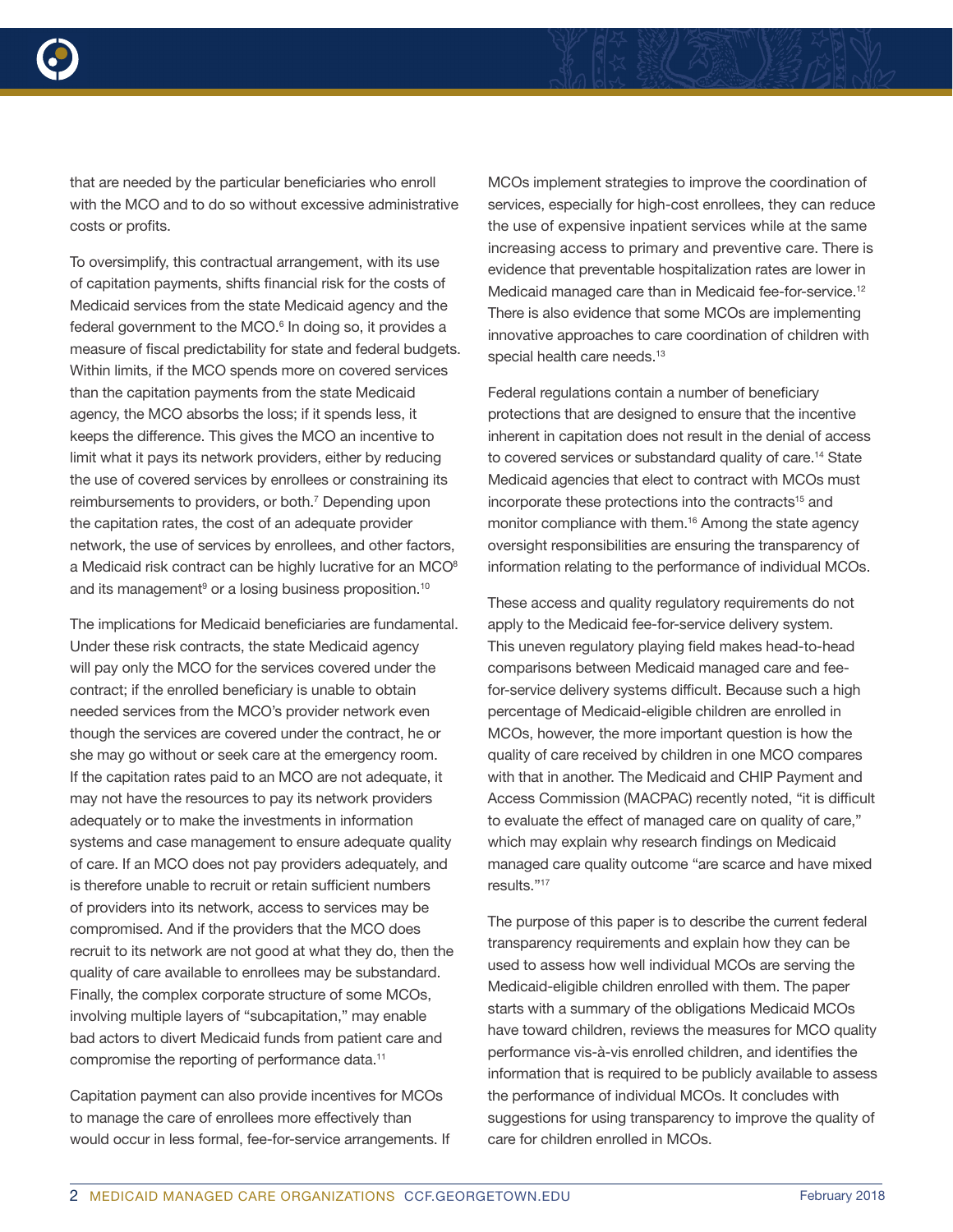

that are needed by the particular beneficiaries who enroll with the MCO and to do so without excessive administrative costs or profits.

To oversimplify, this contractual arrangement, with its use of capitation payments, shifts financial risk for the costs of Medicaid services from the state Medicaid agency and the federal government to the MCO.<sup>6</sup> In doing so, it provides a measure of fiscal predictability for state and federal budgets. Within limits, if the MCO spends more on covered services than the capitation payments from the state Medicaid agency, the MCO absorbs the loss; if it spends less, it keeps the difference. This gives the MCO an incentive to limit what it pays its network providers, either by reducing the use of covered services by enrollees or constraining its reimbursements to providers, or both.<sup>7</sup> Depending upon the capitation rates, the cost of an adequate provider network, the use of services by enrollees, and other factors, a Medicaid risk contract can be highly lucrative for an MCO $8$ and its management<sup>9</sup> or a losing business proposition.<sup>10</sup>

The implications for Medicaid beneficiaries are fundamental. Under these risk contracts, the state Medicaid agency will pay only the MCO for the services covered under the contract; if the enrolled beneficiary is unable to obtain needed services from the MCO's provider network even though the services are covered under the contract, he or she may go without or seek care at the emergency room. If the capitation rates paid to an MCO are not adequate, it may not have the resources to pay its network providers adequately or to make the investments in information systems and case management to ensure adequate quality of care. If an MCO does not pay providers adequately, and is therefore unable to recruit or retain sufficient numbers of providers into its network, access to services may be compromised. And if the providers that the MCO does recruit to its network are not good at what they do, then the quality of care available to enrollees may be substandard. Finally, the complex corporate structure of some MCOs, involving multiple layers of "subcapitation," may enable bad actors to divert Medicaid funds from patient care and compromise the reporting of performance data.<sup>11</sup>

Capitation payment can also provide incentives for MCOs to manage the care of enrollees more effectively than would occur in less formal, fee-for-service arrangements. If

MCOs implement strategies to improve the coordination of services, especially for high-cost enrollees, they can reduce the use of expensive inpatient services while at the same increasing access to primary and preventive care. There is evidence that preventable hospitalization rates are lower in Medicaid managed care than in Medicaid fee-for-service.<sup>12</sup> There is also evidence that some MCOs are implementing innovative approaches to care coordination of children with special health care needs.<sup>13</sup>

Federal regulations contain a number of beneficiary protections that are designed to ensure that the incentive inherent in capitation does not result in the denial of access to covered services or substandard quality of care.<sup>14</sup> State Medicaid agencies that elect to contract with MCOs must incorporate these protections into the contracts<sup>15</sup> and monitor compliance with them.<sup>16</sup> Among the state agency oversight responsibilities are ensuring the transparency of information relating to the performance of individual MCOs.

These access and quality regulatory requirements do not apply to the Medicaid fee-for-service delivery system. This uneven regulatory playing field makes head-to-head comparisons between Medicaid managed care and feefor-service delivery systems difficult. Because such a high percentage of Medicaid-eligible children are enrolled in MCOs, however, the more important question is how the quality of care received by children in one MCO compares with that in another. The Medicaid and CHIP Payment and Access Commission (MACPAC) recently noted, "it is difficult to evaluate the effect of managed care on quality of care," which may explain why research findings on Medicaid managed care quality outcome "are scarce and have mixed results."17

The purpose of this paper is to describe the current federal transparency requirements and explain how they can be used to assess how well individual MCOs are serving the Medicaid-eligible children enrolled with them. The paper starts with a summary of the obligations Medicaid MCOs have toward children, reviews the measures for MCO quality performance vis-à-vis enrolled children, and identifies the information that is required to be publicly available to assess the performance of individual MCOs. It concludes with suggestions for using transparency to improve the quality of care for children enrolled in MCOs.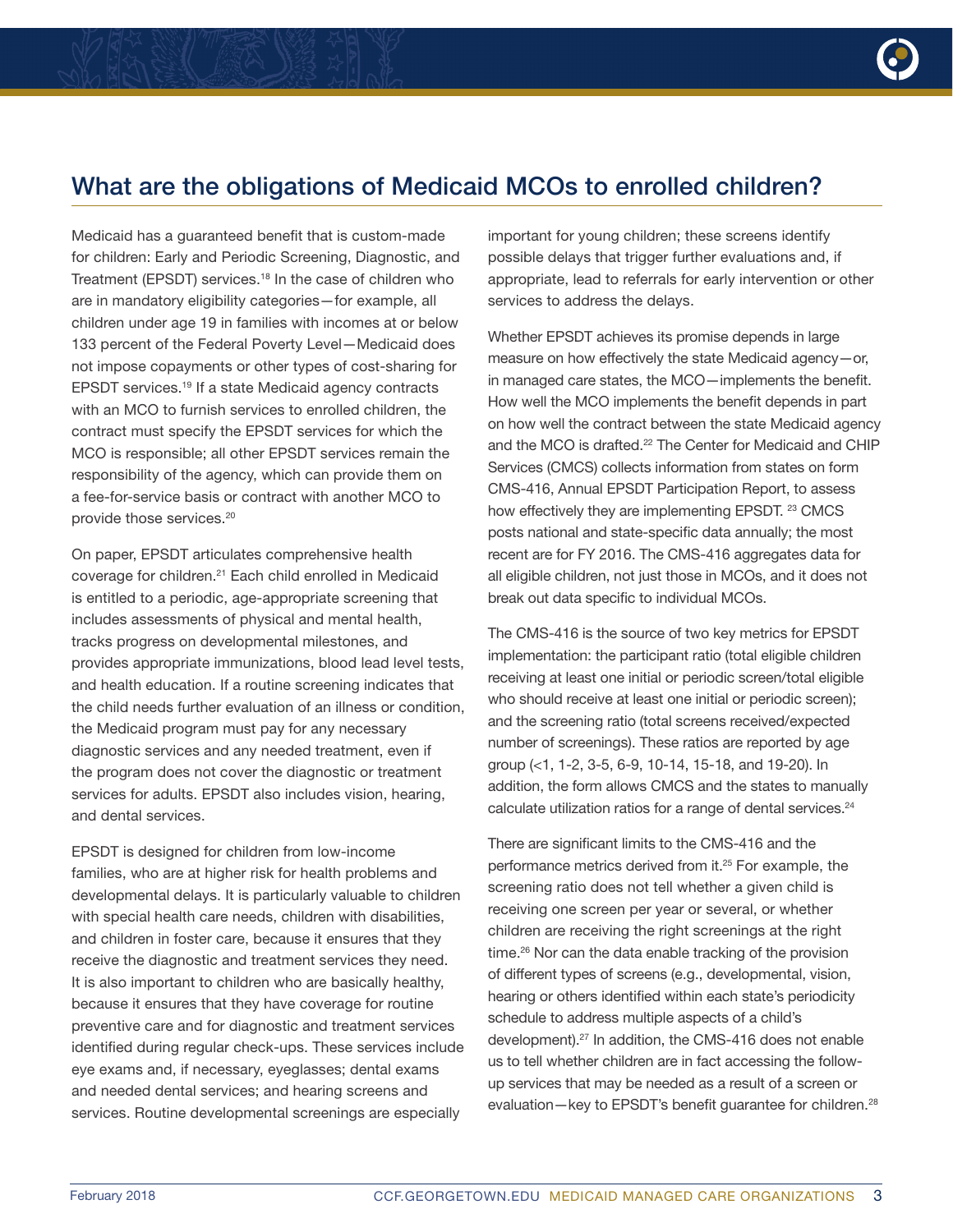### What are the obligations of Medicaid MCOs to enrolled children?

Medicaid has a guaranteed benefit that is custom-made for children: Early and Periodic Screening, Diagnostic, and Treatment (EPSDT) services.<sup>18</sup> In the case of children who are in mandatory eligibility categories—for example, all children under age 19 in families with incomes at or below 133 percent of the Federal Poverty Level—Medicaid does not impose copayments or other types of cost-sharing for EPSDT services.19 If a state Medicaid agency contracts with an MCO to furnish services to enrolled children, the contract must specify the EPSDT services for which the MCO is responsible; all other EPSDT services remain the responsibility of the agency, which can provide them on a fee-for-service basis or contract with another MCO to provide those services.20

On paper, EPSDT articulates comprehensive health coverage for children.21 Each child enrolled in Medicaid is entitled to a periodic, age-appropriate screening that includes assessments of physical and mental health, tracks progress on developmental milestones, and provides appropriate immunizations, blood lead level tests, and health education. If a routine screening indicates that the child needs further evaluation of an illness or condition, the Medicaid program must pay for any necessary diagnostic services and any needed treatment, even if the program does not cover the diagnostic or treatment services for adults. EPSDT also includes vision, hearing, and dental services.

EPSDT is designed for children from low-income families, who are at higher risk for health problems and developmental delays. It is particularly valuable to children with special health care needs, children with disabilities, and children in foster care, because it ensures that they receive the diagnostic and treatment services they need. It is also important to children who are basically healthy, because it ensures that they have coverage for routine preventive care and for diagnostic and treatment services identified during regular check-ups. These services include eye exams and, if necessary, eyeglasses; dental exams and needed dental services; and hearing screens and services. Routine developmental screenings are especially

important for young children; these screens identify possible delays that trigger further evaluations and, if appropriate, lead to referrals for early intervention or other services to address the delays.

Whether EPSDT achieves its promise depends in large measure on how effectively the state Medicaid agency—or, in managed care states, the MCO—implements the benefit. How well the MCO implements the benefit depends in part on how well the contract between the state Medicaid agency and the MCO is drafted.<sup>22</sup> The Center for Medicaid and CHIP Services (CMCS) collects information from states on form CMS-416, Annual EPSDT Participation Report, to assess how effectively they are implementing EPSDT. <sup>23</sup> CMCS posts national and state-specific data annually; the most recent are for FY 2016. The CMS-416 aggregates data for all eligible children, not just those in MCOs, and it does not break out data specific to individual MCOs.

The CMS-416 is the source of two key metrics for EPSDT implementation: the participant ratio (total eligible children receiving at least one initial or periodic screen/total eligible who should receive at least one initial or periodic screen); and the screening ratio (total screens received/expected number of screenings). These ratios are reported by age group (<1, 1-2, 3-5, 6-9, 10-14, 15-18, and 19-20). In addition, the form allows CMCS and the states to manually calculate utilization ratios for a range of dental services.<sup>24</sup>

There are significant limits to the CMS-416 and the performance metrics derived from it.<sup>25</sup> For example, the screening ratio does not tell whether a given child is receiving one screen per year or several, or whether children are receiving the right screenings at the right time.26 Nor can the data enable tracking of the provision of different types of screens (e.g., developmental, vision, hearing or others identified within each state's periodicity schedule to address multiple aspects of a child's development).27 In addition, the CMS-416 does not enable us to tell whether children are in fact accessing the followup services that may be needed as a result of a screen or evaluation—key to EPSDT's benefit guarantee for children.<sup>28</sup>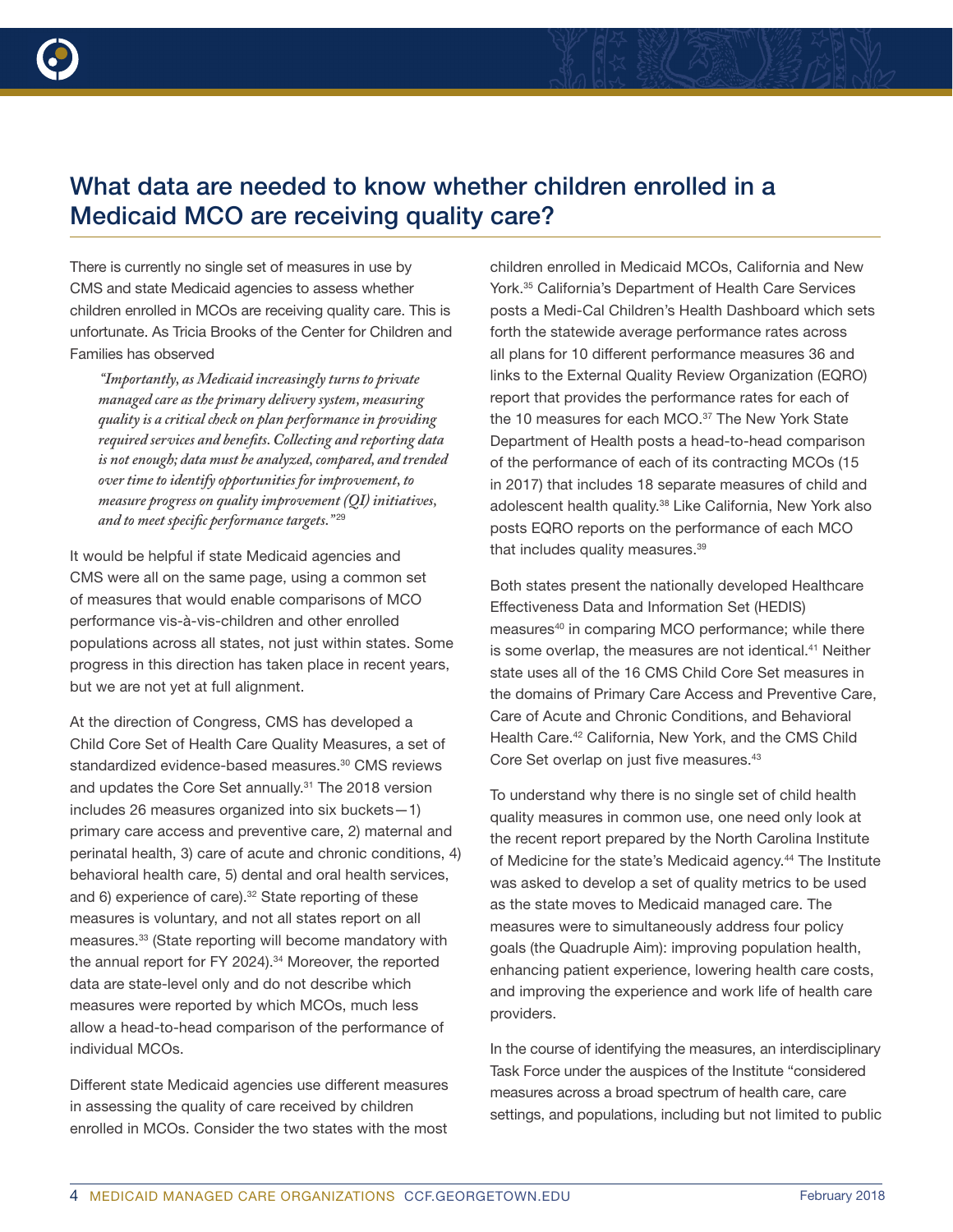

### What data are needed to know whether children enrolled in a Medicaid MCO are receiving quality care?

There is currently no single set of measures in use by CMS and state Medicaid agencies to assess whether children enrolled in MCOs are receiving quality care. This is unfortunate. As Tricia Brooks of the Center for Children and Families has observed

*"Importantly, as Medicaid increasingly turns to private managed care as the primary delivery system, measuring quality is a critical check on plan performance in providing required services and benefits. Collecting and reporting data is not enough; data must be analyzed, compared, and trended over time to identify opportunities for improvement, to measure progress on quality improvement (QI) initiatives, and to meet specific performance targets."* <sup>29</sup>

It would be helpful if state Medicaid agencies and CMS were all on the same page, using a common set of measures that would enable comparisons of MCO performance vis-à-vis-children and other enrolled populations across all states, not just within states. Some progress in this direction has taken place in recent years, but we are not yet at full alignment.

At the direction of Congress, CMS has developed a Child Core Set of Health Care Quality Measures, a set of standardized evidence-based measures.<sup>30</sup> CMS reviews and updates the Core Set annually.<sup>31</sup> The 2018 version includes 26 measures organized into six buckets—1) primary care access and preventive care, 2) maternal and perinatal health, 3) care of acute and chronic conditions, 4) behavioral health care, 5) dental and oral health services, and 6) experience of care).<sup>32</sup> State reporting of these measures is voluntary, and not all states report on all measures.<sup>33</sup> (State reporting will become mandatory with the annual report for FY 2024).<sup>34</sup> Moreover, the reported data are state-level only and do not describe which measures were reported by which MCOs, much less allow a head-to-head comparison of the performance of individual MCOs.

Different state Medicaid agencies use different measures in assessing the quality of care received by children enrolled in MCOs. Consider the two states with the most children enrolled in Medicaid MCOs, California and New York.35 California's Department of Health Care Services posts a Medi-Cal Children's Health Dashboard which sets forth the statewide average performance rates across all plans for 10 different performance measures 36 and links to the External Quality Review Organization (EQRO) report that provides the performance rates for each of the 10 measures for each MCO.<sup>37</sup> The New York State Department of Health posts a head-to-head comparison of the performance of each of its contracting MCOs (15 in 2017) that includes 18 separate measures of child and adolescent health quality.38 Like California, New York also posts EQRO reports on the performance of each MCO that includes quality measures.<sup>39</sup>

Both states present the nationally developed Healthcare Effectiveness Data and Information Set (HEDIS) measures<sup>40</sup> in comparing MCO performance; while there is some overlap, the measures are not identical.<sup>41</sup> Neither state uses all of the 16 CMS Child Core Set measures in the domains of Primary Care Access and Preventive Care, Care of Acute and Chronic Conditions, and Behavioral Health Care.42 California, New York, and the CMS Child Core Set overlap on just five measures.<sup>43</sup>

To understand why there is no single set of child health quality measures in common use, one need only look at the recent report prepared by the North Carolina Institute of Medicine for the state's Medicaid agency.<sup>44</sup> The Institute was asked to develop a set of quality metrics to be used as the state moves to Medicaid managed care. The measures were to simultaneously address four policy goals (the Quadruple Aim): improving population health, enhancing patient experience, lowering health care costs, and improving the experience and work life of health care providers.

In the course of identifying the measures, an interdisciplinary Task Force under the auspices of the Institute "considered measures across a broad spectrum of health care, care settings, and populations, including but not limited to public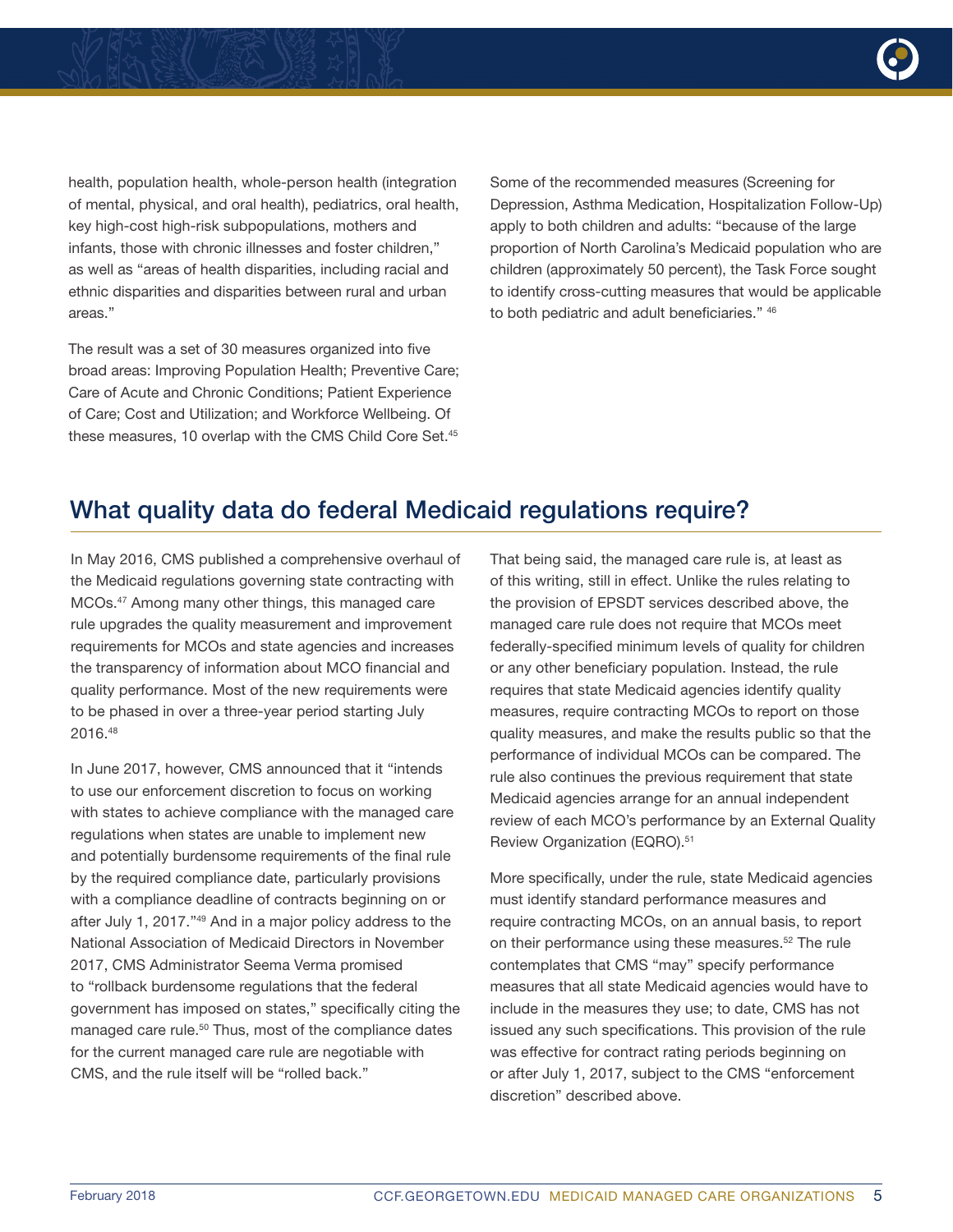

health, population health, whole-person health (integration of mental, physical, and oral health), pediatrics, oral health, key high-cost high-risk subpopulations, mothers and infants, those with chronic illnesses and foster children," as well as "areas of health disparities, including racial and ethnic disparities and disparities between rural and urban areas."

The result was a set of 30 measures organized into five broad areas: Improving Population Health; Preventive Care; Care of Acute and Chronic Conditions; Patient Experience of Care; Cost and Utilization; and Workforce Wellbeing. Of these measures, 10 overlap with the CMS Child Core Set.<sup>45</sup>

Some of the recommended measures (Screening for Depression, Asthma Medication, Hospitalization Follow-Up) apply to both children and adults: "because of the large proportion of North Carolina's Medicaid population who are children (approximately 50 percent), the Task Force sought to identify cross-cutting measures that would be applicable to both pediatric and adult beneficiaries." 46

### What quality data do federal Medicaid regulations require?

In May 2016, CMS published a comprehensive overhaul of the Medicaid regulations governing state contracting with MCOs.47 Among many other things, this managed care rule upgrades the quality measurement and improvement requirements for MCOs and state agencies and increases the transparency of information about MCO financial and quality performance. Most of the new requirements were to be phased in over a three-year period starting July 2016.48

In June 2017, however, CMS announced that it "intends to use our enforcement discretion to focus on working with states to achieve compliance with the managed care regulations when states are unable to implement new and potentially burdensome requirements of the final rule by the required compliance date, particularly provisions with a compliance deadline of contracts beginning on or after July 1, 2017."49 And in a major policy address to the National Association of Medicaid Directors in November 2017, CMS Administrator Seema Verma promised to "rollback burdensome regulations that the federal government has imposed on states," specifically citing the managed care rule.<sup>50</sup> Thus, most of the compliance dates for the current managed care rule are negotiable with CMS, and the rule itself will be "rolled back."

That being said, the managed care rule is, at least as of this writing, still in effect. Unlike the rules relating to the provision of EPSDT services described above, the managed care rule does not require that MCOs meet federally-specified minimum levels of quality for children or any other beneficiary population. Instead, the rule requires that state Medicaid agencies identify quality measures, require contracting MCOs to report on those quality measures, and make the results public so that the performance of individual MCOs can be compared. The rule also continues the previous requirement that state Medicaid agencies arrange for an annual independent review of each MCO's performance by an External Quality Review Organization (EQRO).<sup>51</sup>

More specifically, under the rule, state Medicaid agencies must identify standard performance measures and require contracting MCOs, on an annual basis, to report on their performance using these measures.<sup>52</sup> The rule contemplates that CMS "may" specify performance measures that all state Medicaid agencies would have to include in the measures they use; to date, CMS has not issued any such specifications. This provision of the rule was effective for contract rating periods beginning on or after July 1, 2017, subject to the CMS "enforcement discretion" described above.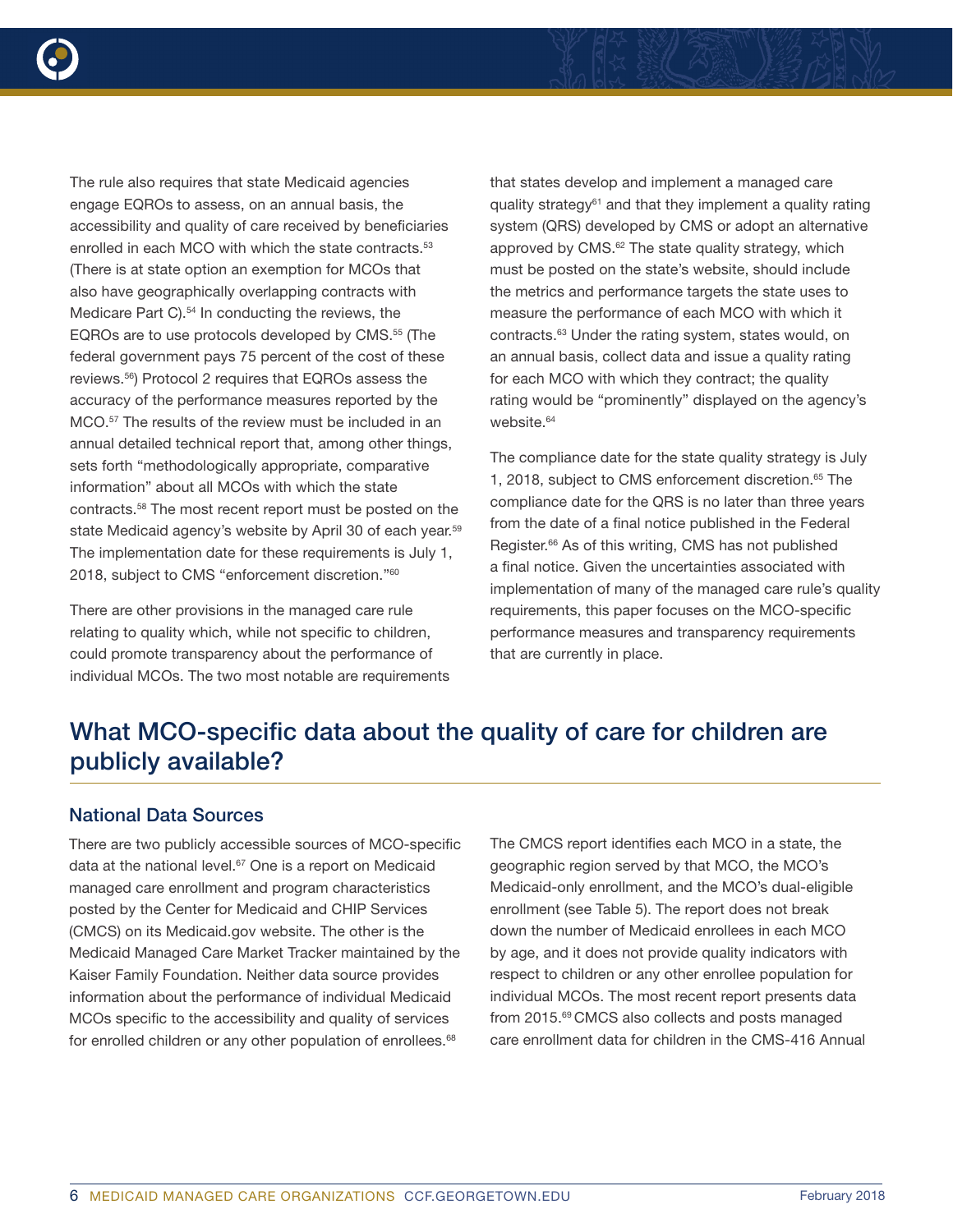

The rule also requires that state Medicaid agencies engage EQROs to assess, on an annual basis, the accessibility and quality of care received by beneficiaries enrolled in each MCO with which the state contracts.<sup>53</sup> (There is at state option an exemption for MCOs that also have geographically overlapping contracts with Medicare Part C).<sup>54</sup> In conducting the reviews, the EQROs are to use protocols developed by CMS.55 (The federal government pays 75 percent of the cost of these reviews.56) Protocol 2 requires that EQROs assess the accuracy of the performance measures reported by the MCO.<sup>57</sup> The results of the review must be included in an annual detailed technical report that, among other things, sets forth "methodologically appropriate, comparative information" about all MCOs with which the state contracts.58 The most recent report must be posted on the state Medicaid agency's website by April 30 of each year.<sup>59</sup> The implementation date for these requirements is July 1, 2018, subject to CMS "enforcement discretion."60

There are other provisions in the managed care rule relating to quality which, while not specific to children, could promote transparency about the performance of individual MCOs. The two most notable are requirements that states develop and implement a managed care quality strategy<sup>61</sup> and that they implement a quality rating system (QRS) developed by CMS or adopt an alternative approved by CMS.<sup>62</sup> The state quality strategy, which must be posted on the state's website, should include the metrics and performance targets the state uses to measure the performance of each MCO with which it contracts.63 Under the rating system, states would, on an annual basis, collect data and issue a quality rating for each MCO with which they contract; the quality rating would be "prominently" displayed on the agency's website.<sup>64</sup>

The compliance date for the state quality strategy is July 1, 2018, subject to CMS enforcement discretion.<sup>65</sup> The compliance date for the QRS is no later than three years from the date of a final notice published in the Federal Register.<sup>66</sup> As of this writing, CMS has not published a final notice. Given the uncertainties associated with implementation of many of the managed care rule's quality requirements, this paper focuses on the MCO-specific performance measures and transparency requirements that are currently in place.

### What MCO-specific data about the quality of care for children are publicly available?

#### National Data Sources

There are two publicly accessible sources of MCO-specific data at the national level.<sup>67</sup> One is a report on Medicaid managed care enrollment and program characteristics posted by the Center for Medicaid and CHIP Services (CMCS) on its Medicaid.gov website. The other is the Medicaid Managed Care Market Tracker maintained by the Kaiser Family Foundation. Neither data source provides information about the performance of individual Medicaid MCOs specific to the accessibility and quality of services for enrolled children or any other population of enrollees.<sup>68</sup>

The CMCS report identifies each MCO in a state, the geographic region served by that MCO, the MCO's Medicaid-only enrollment, and the MCO's dual-eligible enrollment (see Table 5). The report does not break down the number of Medicaid enrollees in each MCO by age, and it does not provide quality indicators with respect to children or any other enrollee population for individual MCOs. The most recent report presents data from 2015.69 CMCS also collects and posts managed care enrollment data for children in the CMS-416 Annual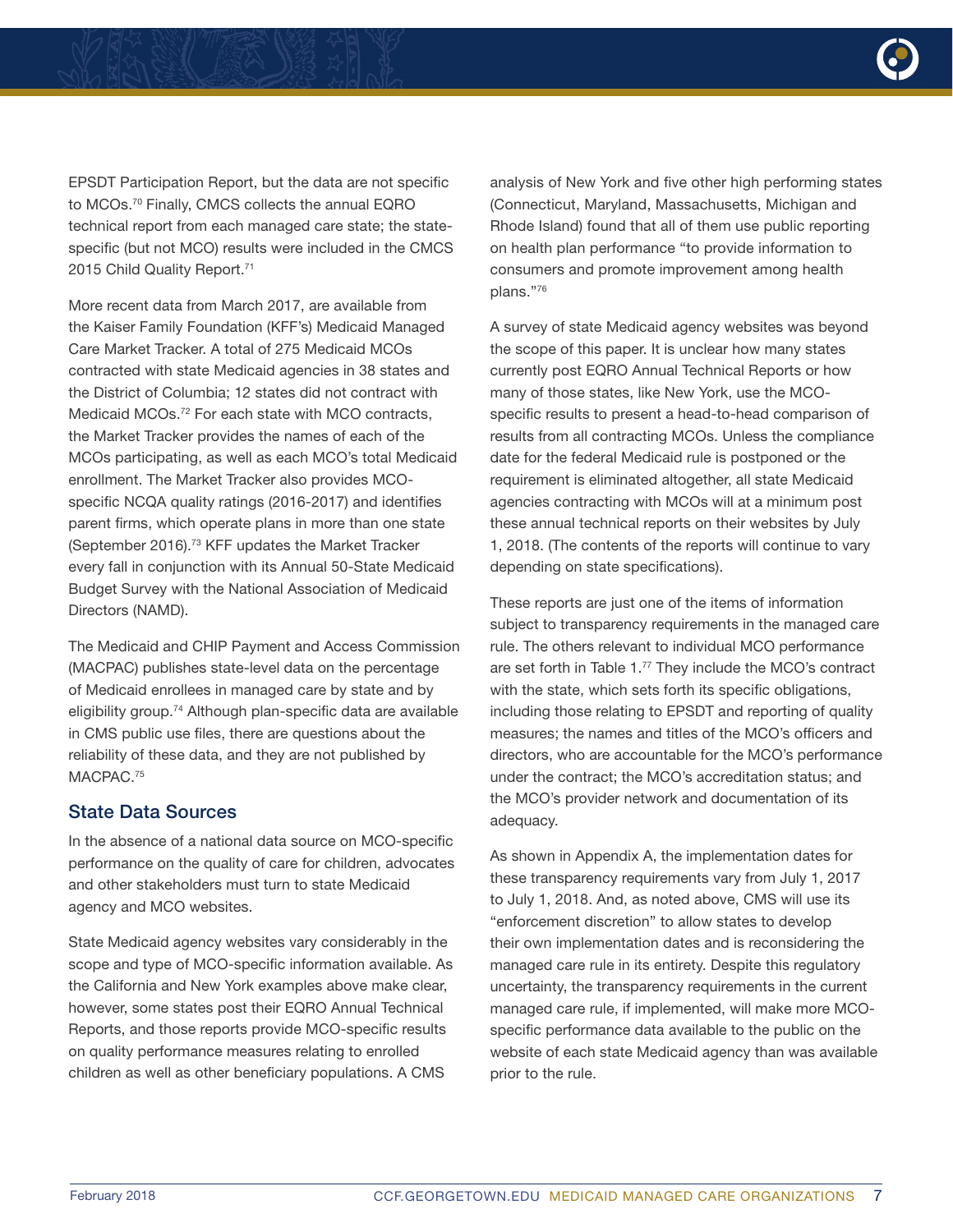

EPSDT Participation Report, but the data are not specific to MCOs.70 Finally, CMCS collects the annual EQRO technical report from each managed care state; the statespecific (but not MCO) results were included in the CMCS 2015 Child Quality Report.71

More recent data from March 2017, are available from the Kaiser Family Foundation (KFF's) Medicaid Managed Care Market Tracker. A total of 275 Medicaid MCOs contracted with state Medicaid agencies in 38 states and the District of Columbia; 12 states did not contract with Medicaid MCOs.72 For each state with MCO contracts, the Market Tracker provides the names of each of the MCOs participating, as well as each MCO's total Medicaid enrollment. The Market Tracker also provides MCOspecific NCQA quality ratings (2016-2017) and identifies parent firms, which operate plans in more than one state (September 2016).73 KFF updates the Market Tracker every fall in conjunction with its Annual 50-State Medicaid Budget Survey with the National Association of Medicaid Directors (NAMD).

The Medicaid and CHIP Payment and Access Commission (MACPAC) publishes state-level data on the percentage of Medicaid enrollees in managed care by state and by eligibility group.<sup>74</sup> Although plan-specific data are available in CMS public use files, there are questions about the reliability of these data, and they are not published by MACPAC<sup>75</sup>

#### State Data Sources

In the absence of a national data source on MCO-specific performance on the quality of care for children, advocates and other stakeholders must turn to state Medicaid agency and MCO websites.

State Medicaid agency websites vary considerably in the scope and type of MCO-specific information available. As the California and New York examples above make clear, however, some states post their EQRO Annual Technical Reports, and those reports provide MCO-specific results on quality performance measures relating to enrolled children as well as other beneficiary populations. A CMS

analysis of New York and five other high performing states (Connecticut, Maryland, Massachusetts, Michigan and Rhode Island) found that all of them use public reporting on health plan performance "to provide information to consumers and promote improvement among health plans."76

A survey of state Medicaid agency websites was beyond the scope of this paper. It is unclear how many states currently post EQRO Annual Technical Reports or how many of those states, like New York, use the MCOspecific results to present a head-to-head comparison of results from all contracting MCOs. Unless the compliance date for the federal Medicaid rule is postponed or the requirement is eliminated altogether, all state Medicaid agencies contracting with MCOs will at a minimum post these annual technical reports on their websites by July 1, 2018. (The contents of the reports will continue to vary depending on state specifications).

These reports are just one of the items of information subject to transparency requirements in the managed care rule. The others relevant to individual MCO performance are set forth in Table 1.77 They include the MCO's contract with the state, which sets forth its specific obligations, including those relating to EPSDT and reporting of quality measures; the names and titles of the MCO's officers and directors, who are accountable for the MCO's performance under the contract; the MCO's accreditation status; and the MCO's provider network and documentation of its adequacy.

As shown in Appendix A, the implementation dates for these transparency requirements vary from July 1, 2017 to July 1, 2018. And, as noted above, CMS will use its "enforcement discretion" to allow states to develop their own implementation dates and is reconsidering the managed care rule in its entirety. Despite this regulatory uncertainty, the transparency requirements in the current managed care rule, if implemented, will make more MCOspecific performance data available to the public on the website of each state Medicaid agency than was available prior to the rule.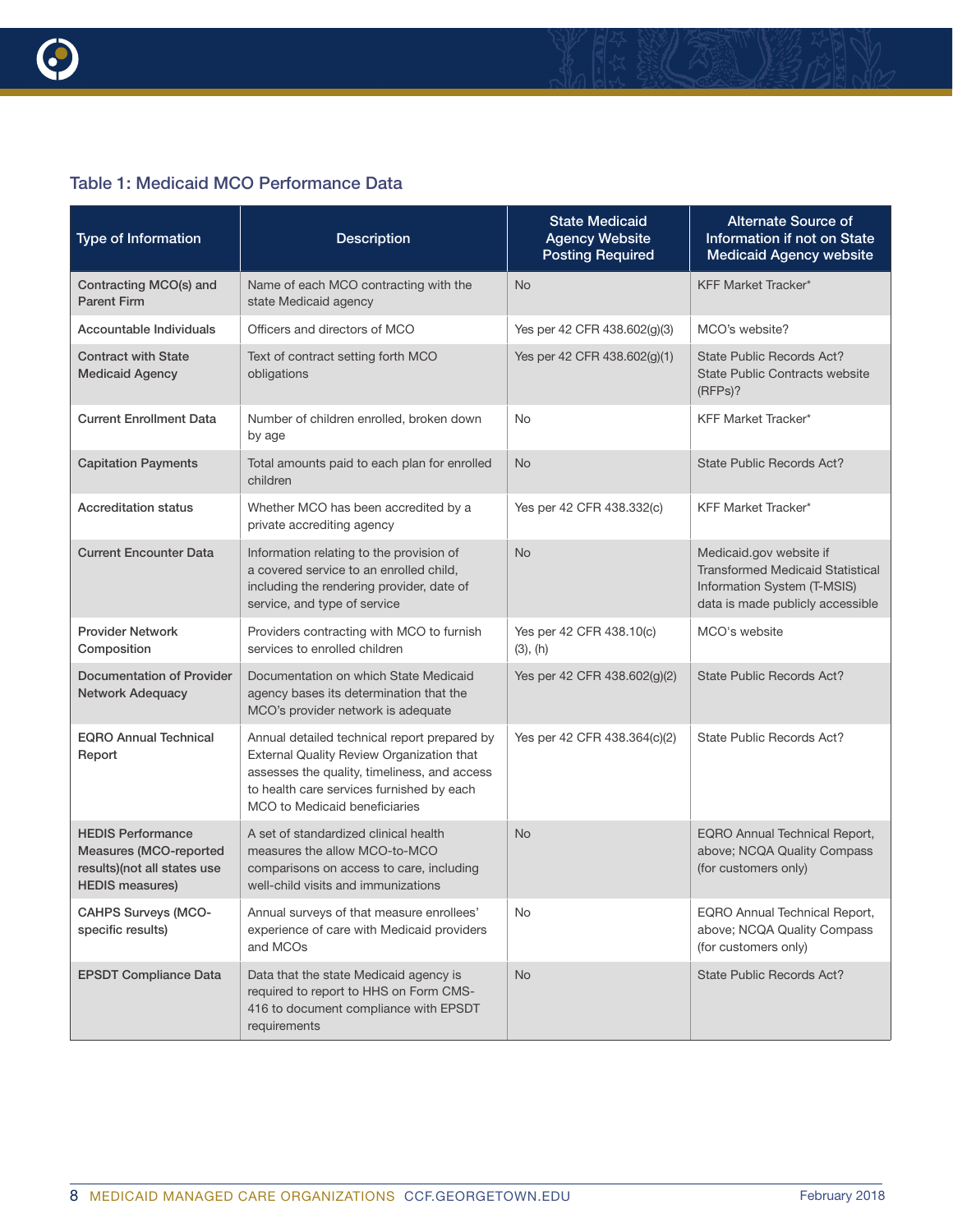

#### Table 1: Medicaid MCO Performance Data

| <b>Type of Information</b>                                                                                  | <b>Description</b>                                                                                                                                                                                                      | <b>State Medicaid</b><br><b>Agency Website</b><br><b>Posting Required</b> | Alternate Source of<br>Information if not on State<br><b>Medicaid Agency website</b>                                                  |
|-------------------------------------------------------------------------------------------------------------|-------------------------------------------------------------------------------------------------------------------------------------------------------------------------------------------------------------------------|---------------------------------------------------------------------------|---------------------------------------------------------------------------------------------------------------------------------------|
| Contracting MCO(s) and<br><b>Parent Firm</b>                                                                | Name of each MCO contracting with the<br>state Medicaid agency                                                                                                                                                          | <b>No</b>                                                                 | <b>KFF Market Tracker*</b>                                                                                                            |
| Accountable Individuals                                                                                     | Officers and directors of MCO                                                                                                                                                                                           | Yes per 42 CFR 438.602(g)(3)                                              | MCO's website?                                                                                                                        |
| <b>Contract with State</b><br><b>Medicaid Agency</b>                                                        | Text of contract setting forth MCO<br>obligations                                                                                                                                                                       | Yes per 42 CFR 438.602(g)(1)                                              | State Public Records Act?<br><b>State Public Contracts website</b><br>$(RFPs)$ ?                                                      |
| <b>Current Enrollment Data</b>                                                                              | Number of children enrolled, broken down<br>by age                                                                                                                                                                      | <b>No</b>                                                                 | <b>KFF Market Tracker*</b>                                                                                                            |
| <b>Capitation Payments</b>                                                                                  | Total amounts paid to each plan for enrolled<br>children                                                                                                                                                                | <b>No</b>                                                                 | State Public Records Act?                                                                                                             |
| <b>Accreditation status</b>                                                                                 | Whether MCO has been accredited by a<br>private accrediting agency                                                                                                                                                      | Yes per 42 CFR 438.332(c)                                                 | <b>KFF Market Tracker*</b>                                                                                                            |
| <b>Current Encounter Data</b>                                                                               | Information relating to the provision of<br>a covered service to an enrolled child,<br>including the rendering provider, date of<br>service, and type of service                                                        | <b>No</b>                                                                 | Medicaid.gov website if<br><b>Transformed Medicaid Statistical</b><br>Information System (T-MSIS)<br>data is made publicly accessible |
| <b>Provider Network</b><br>Composition                                                                      | Providers contracting with MCO to furnish<br>services to enrolled children                                                                                                                                              | Yes per 42 CFR 438.10(c)<br>(3), (h)                                      | MCO's website                                                                                                                         |
| <b>Documentation of Provider</b><br><b>Network Adequacy</b>                                                 | Documentation on which State Medicaid<br>agency bases its determination that the<br>MCO's provider network is adequate                                                                                                  | Yes per 42 CFR 438.602(g)(2)                                              | <b>State Public Records Act?</b>                                                                                                      |
| <b>EQRO Annual Technical</b><br>Report                                                                      | Annual detailed technical report prepared by<br>External Quality Review Organization that<br>assesses the quality, timeliness, and access<br>to health care services furnished by each<br>MCO to Medicaid beneficiaries | Yes per 42 CFR 438.364(c)(2)                                              | State Public Records Act?                                                                                                             |
| <b>HEDIS Performance</b><br>Measures (MCO-reported<br>results)(not all states use<br><b>HEDIS measures)</b> | A set of standardized clinical health<br>measures the allow MCO-to-MCO<br>comparisons on access to care, including<br>well-child visits and immunizations                                                               | <b>No</b>                                                                 | EQRO Annual Technical Report,<br>above; NCQA Quality Compass<br>(for customers only)                                                  |
| <b>CAHPS Surveys (MCO-</b><br>specific results)                                                             | Annual surveys of that measure enrollees'<br>experience of care with Medicaid providers<br>and MCOs                                                                                                                     | No                                                                        | EQRO Annual Technical Report,<br>above; NCQA Quality Compass<br>(for customers only)                                                  |
| <b>EPSDT Compliance Data</b>                                                                                | Data that the state Medicaid agency is<br>required to report to HHS on Form CMS-<br>416 to document compliance with EPSDT<br>requirements                                                                               | <b>No</b>                                                                 | State Public Records Act?                                                                                                             |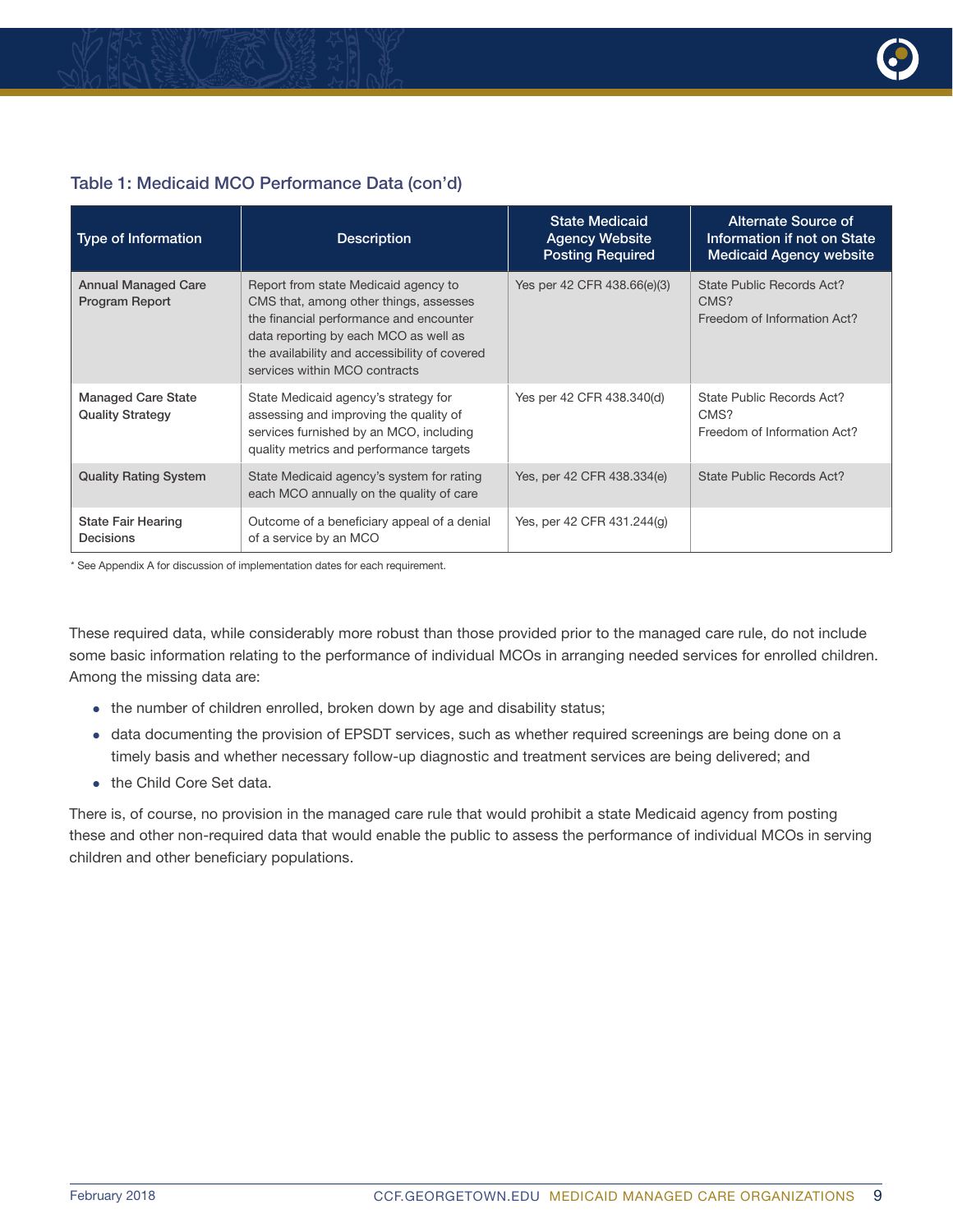

#### Table 1: Medicaid MCO Performance Data (con'd)

| <b>Type of Information</b>                           | <b>Description</b>                                                                                                                                                                                                                                   | <b>State Medicaid</b><br><b>Agency Website</b><br><b>Posting Required</b> | Alternate Source of<br>Information if not on State<br><b>Medicaid Agency website</b> |
|------------------------------------------------------|------------------------------------------------------------------------------------------------------------------------------------------------------------------------------------------------------------------------------------------------------|---------------------------------------------------------------------------|--------------------------------------------------------------------------------------|
| <b>Annual Managed Care</b><br>Program Report         | Report from state Medicaid agency to<br>CMS that, among other things, assesses<br>the financial performance and encounter<br>data reporting by each MCO as well as<br>the availability and accessibility of covered<br>services within MCO contracts | Yes per 42 CFR 438.66(e)(3)                                               | State Public Records Act?<br>CMS?<br>Freedom of Information Act?                     |
| <b>Managed Care State</b><br><b>Quality Strategy</b> | State Medicaid agency's strategy for<br>assessing and improving the quality of<br>services furnished by an MCO, including<br>quality metrics and performance targets                                                                                 | Yes per 42 CFR 438.340(d)                                                 | State Public Records Act?<br>CMS?<br>Freedom of Information Act?                     |
| <b>Quality Rating System</b>                         | State Medicaid agency's system for rating<br>each MCO annually on the quality of care                                                                                                                                                                | Yes, per 42 CFR 438.334(e)                                                | State Public Records Act?                                                            |
| <b>State Fair Hearing</b><br>Decisions               | Outcome of a beneficiary appeal of a denial<br>of a service by an MCO                                                                                                                                                                                | Yes, per 42 CFR 431.244(q)                                                |                                                                                      |

\* See Appendix A for discussion of implementation dates for each requirement.

These required data, while considerably more robust than those provided prior to the managed care rule, do not include some basic information relating to the performance of individual MCOs in arranging needed services for enrolled children. Among the missing data are:

- the number of children enrolled, broken down by age and disability status;
- data documenting the provision of EPSDT services, such as whether required screenings are being done on a timely basis and whether necessary follow-up diagnostic and treatment services are being delivered; and
- the Child Core Set data

There is, of course, no provision in the managed care rule that would prohibit a state Medicaid agency from posting these and other non-required data that would enable the public to assess the performance of individual MCOs in serving children and other beneficiary populations.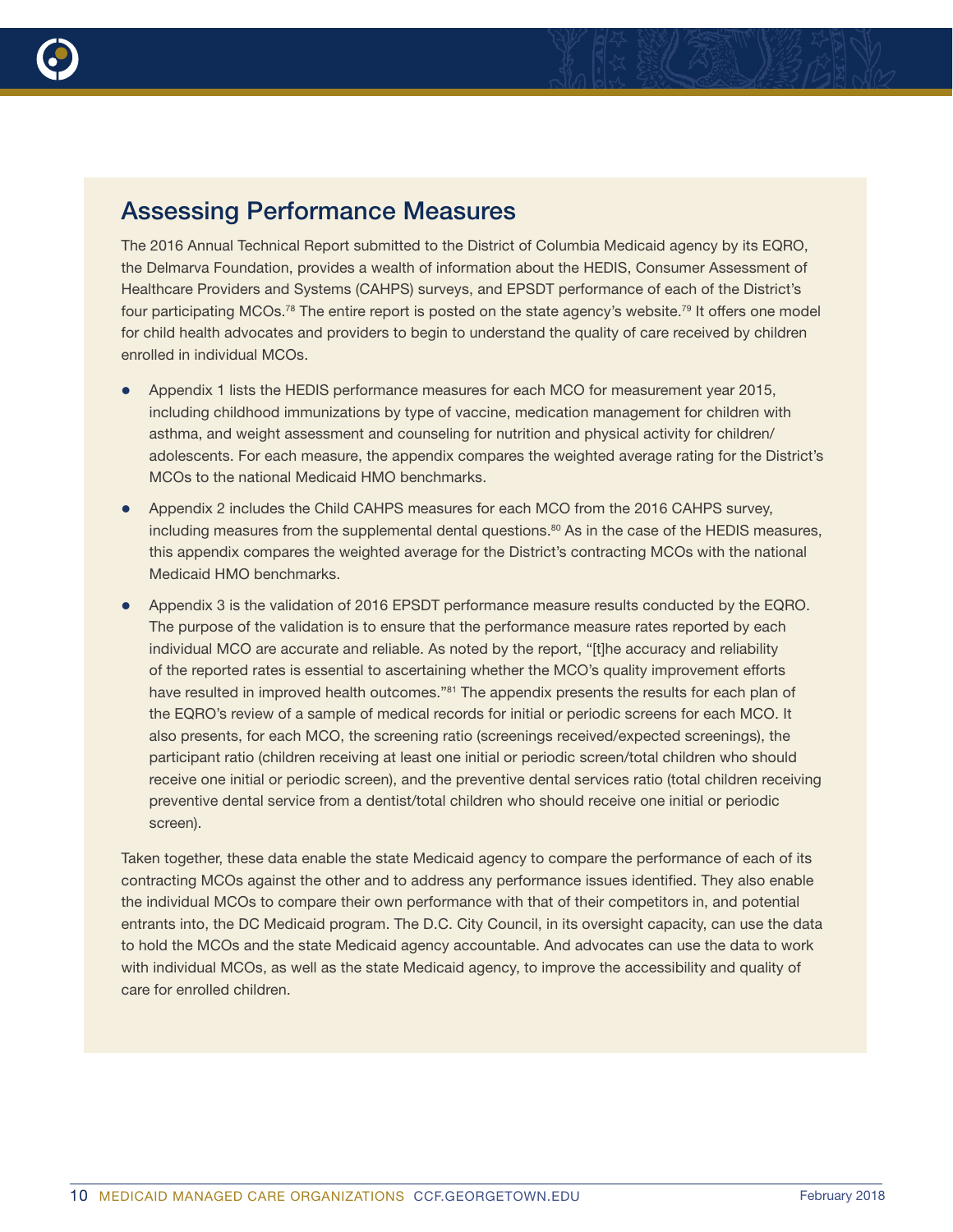

### Assessing Performance Measures

The 2016 Annual Technical Report submitted to the District of Columbia Medicaid agency by its EQRO, the Delmarva Foundation, provides a wealth of information about the HEDIS, Consumer Assessment of Healthcare Providers and Systems (CAHPS) surveys, and EPSDT performance of each of the District's four participating MCOs.78 The entire report is posted on the state agency's website.79 It offers one model for child health advocates and providers to begin to understand the quality of care received by children enrolled in individual MCOs.

- Appendix 1 lists the HEDIS performance measures for each MCO for measurement year 2015, including childhood immunizations by type of vaccine, medication management for children with asthma, and weight assessment and counseling for nutrition and physical activity for children/ adolescents. For each measure, the appendix compares the weighted average rating for the District's MCOs to the national Medicaid HMO benchmarks.
- Appendix 2 includes the Child CAHPS measures for each MCO from the 2016 CAHPS survey, including measures from the supplemental dental questions.<sup>80</sup> As in the case of the HEDIS measures, this appendix compares the weighted average for the District's contracting MCOs with the national Medicaid HMO benchmarks.
- Appendix 3 is the validation of 2016 EPSDT performance measure results conducted by the EQRO. The purpose of the validation is to ensure that the performance measure rates reported by each individual MCO are accurate and reliable. As noted by the report, "[t]he accuracy and reliability of the reported rates is essential to ascertaining whether the MCO's quality improvement efforts have resulted in improved health outcomes."<sup>81</sup> The appendix presents the results for each plan of the EQRO's review of a sample of medical records for initial or periodic screens for each MCO. It also presents, for each MCO, the screening ratio (screenings received/expected screenings), the participant ratio (children receiving at least one initial or periodic screen/total children who should receive one initial or periodic screen), and the preventive dental services ratio (total children receiving preventive dental service from a dentist/total children who should receive one initial or periodic screen).

Taken together, these data enable the state Medicaid agency to compare the performance of each of its contracting MCOs against the other and to address any performance issues identified. They also enable the individual MCOs to compare their own performance with that of their competitors in, and potential entrants into, the DC Medicaid program. The D.C. City Council, in its oversight capacity, can use the data to hold the MCOs and the state Medicaid agency accountable. And advocates can use the data to work with individual MCOs, as well as the state Medicaid agency, to improve the accessibility and quality of care for enrolled children.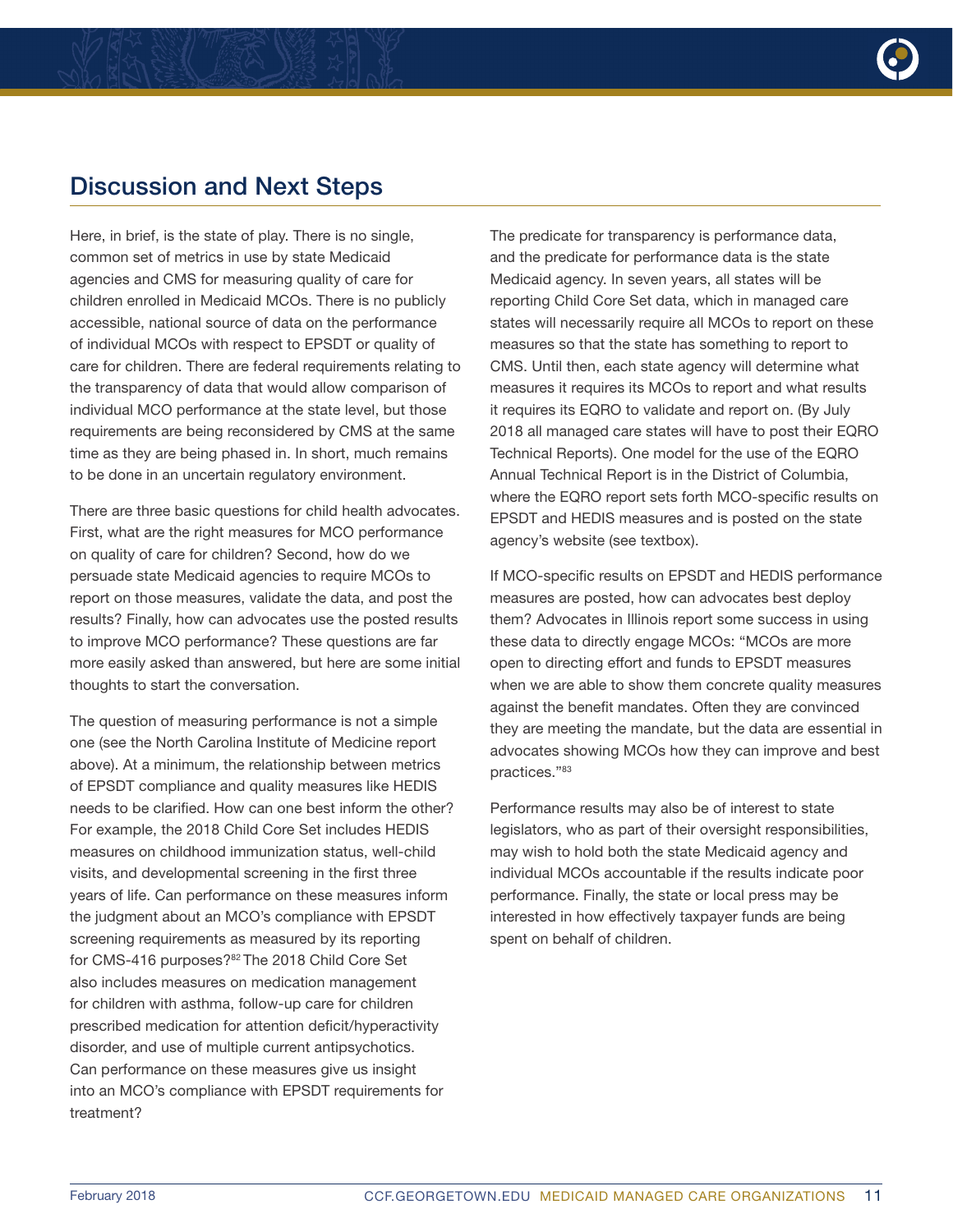

### Discussion and Next Steps

Here, in brief, is the state of play. There is no single, common set of metrics in use by state Medicaid agencies and CMS for measuring quality of care for children enrolled in Medicaid MCOs. There is no publicly accessible, national source of data on the performance of individual MCOs with respect to EPSDT or quality of care for children. There are federal requirements relating to the transparency of data that would allow comparison of individual MCO performance at the state level, but those requirements are being reconsidered by CMS at the same time as they are being phased in. In short, much remains to be done in an uncertain regulatory environment.

There are three basic questions for child health advocates. First, what are the right measures for MCO performance on quality of care for children? Second, how do we persuade state Medicaid agencies to require MCOs to report on those measures, validate the data, and post the results? Finally, how can advocates use the posted results to improve MCO performance? These questions are far more easily asked than answered, but here are some initial thoughts to start the conversation.

The question of measuring performance is not a simple one (see the North Carolina Institute of Medicine report above). At a minimum, the relationship between metrics of EPSDT compliance and quality measures like HEDIS needs to be clarified. How can one best inform the other? For example, the 2018 Child Core Set includes HEDIS measures on childhood immunization status, well-child visits, and developmental screening in the first three years of life. Can performance on these measures inform the judgment about an MCO's compliance with EPSDT screening requirements as measured by its reporting for CMS-416 purposes?<sup>82</sup> The 2018 Child Core Set also includes measures on medication management for children with asthma, follow-up care for children prescribed medication for attention deficit/hyperactivity disorder, and use of multiple current antipsychotics. Can performance on these measures give us insight into an MCO's compliance with EPSDT requirements for treatment?

The predicate for transparency is performance data, and the predicate for performance data is the state Medicaid agency. In seven years, all states will be reporting Child Core Set data, which in managed care states will necessarily require all MCOs to report on these measures so that the state has something to report to CMS. Until then, each state agency will determine what measures it requires its MCOs to report and what results it requires its EQRO to validate and report on. (By July 2018 all managed care states will have to post their EQRO Technical Reports). One model for the use of the EQRO Annual Technical Report is in the District of Columbia, where the EQRO report sets forth MCO-specific results on EPSDT and HEDIS measures and is posted on the state agency's website (see textbox).

If MCO-specific results on EPSDT and HEDIS performance measures are posted, how can advocates best deploy them? Advocates in Illinois report some success in using these data to directly engage MCOs: "MCOs are more open to directing effort and funds to EPSDT measures when we are able to show them concrete quality measures against the benefit mandates. Often they are convinced they are meeting the mandate, but the data are essential in advocates showing MCOs how they can improve and best practices."83

Performance results may also be of interest to state legislators, who as part of their oversight responsibilities, may wish to hold both the state Medicaid agency and individual MCOs accountable if the results indicate poor performance. Finally, the state or local press may be interested in how effectively taxpayer funds are being spent on behalf of children.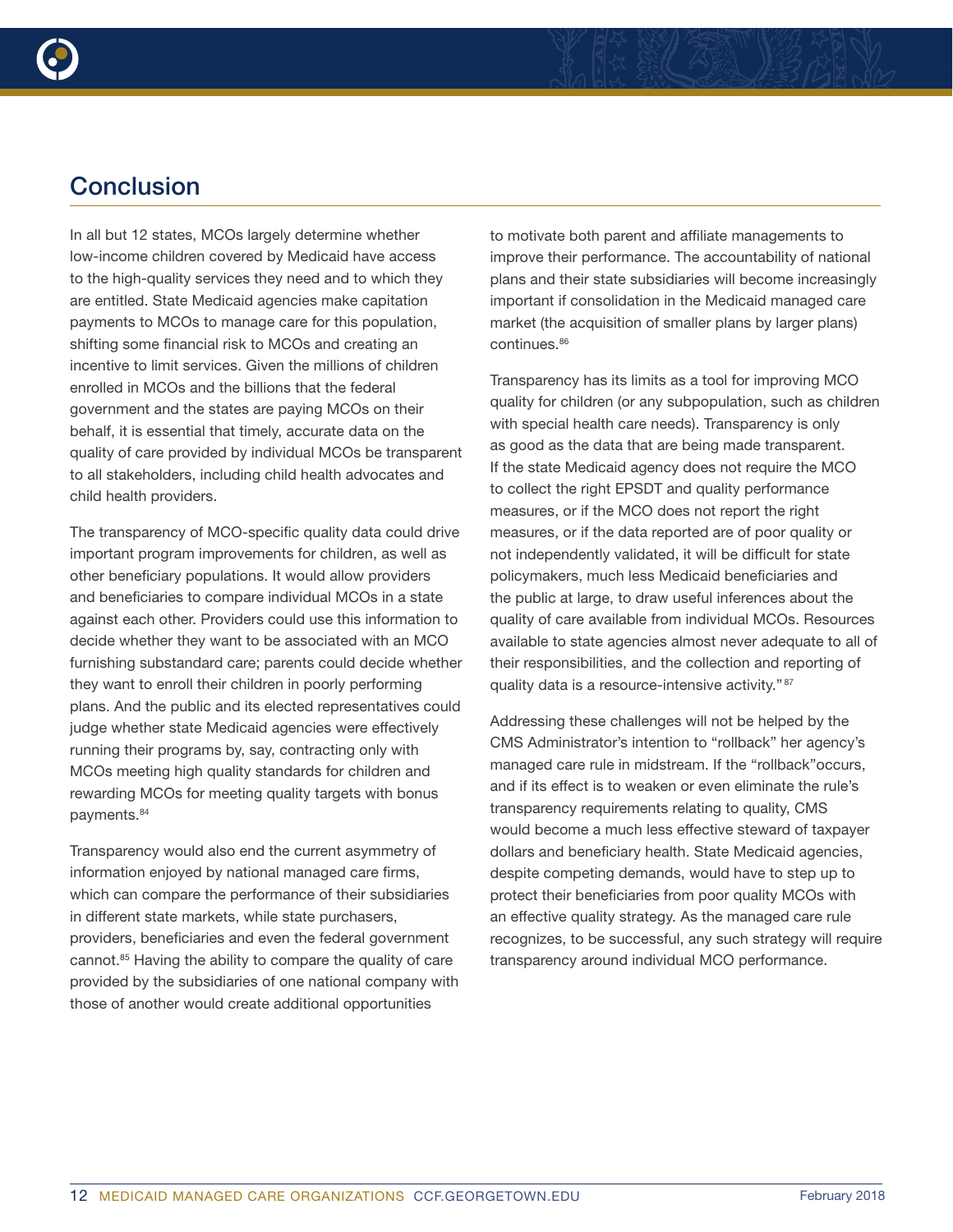

In all but 12 states, MCOs largely determine whether low-income children covered by Medicaid have access to the high-quality services they need and to which they are entitled. State Medicaid agencies make capitation payments to MCOs to manage care for this population, shifting some financial risk to MCOs and creating an incentive to limit services. Given the millions of children enrolled in MCOs and the billions that the federal government and the states are paying MCOs on their behalf, it is essential that timely, accurate data on the quality of care provided by individual MCOs be transparent to all stakeholders, including child health advocates and child health providers.

The transparency of MCO-specific quality data could drive important program improvements for children, as well as other beneficiary populations. It would allow providers and beneficiaries to compare individual MCOs in a state against each other. Providers could use this information to decide whether they want to be associated with an MCO furnishing substandard care; parents could decide whether they want to enroll their children in poorly performing plans. And the public and its elected representatives could judge whether state Medicaid agencies were effectively running their programs by, say, contracting only with MCOs meeting high quality standards for children and rewarding MCOs for meeting quality targets with bonus payments.84

Transparency would also end the current asymmetry of information enjoyed by national managed care firms, which can compare the performance of their subsidiaries in different state markets, while state purchasers, providers, beneficiaries and even the federal government cannot.<sup>85</sup> Having the ability to compare the quality of care provided by the subsidiaries of one national company with those of another would create additional opportunities

to motivate both parent and affiliate managements to improve their performance. The accountability of national plans and their state subsidiaries will become increasingly important if consolidation in the Medicaid managed care market (the acquisition of smaller plans by larger plans) continues.<sup>86</sup>

Transparency has its limits as a tool for improving MCO quality for children (or any subpopulation, such as children with special health care needs). Transparency is only as good as the data that are being made transparent. If the state Medicaid agency does not require the MCO to collect the right EPSDT and quality performance measures, or if the MCO does not report the right measures, or if the data reported are of poor quality or not independently validated, it will be difficult for state policymakers, much less Medicaid beneficiaries and the public at large, to draw useful inferences about the quality of care available from individual MCOs. Resources available to state agencies almost never adequate to all of their responsibilities, and the collection and reporting of quality data is a resource-intensive activity." 87

Addressing these challenges will not be helped by the CMS Administrator's intention to "rollback" her agency's managed care rule in midstream. If the "rollback"occurs, and if its effect is to weaken or even eliminate the rule's transparency requirements relating to quality, CMS would become a much less effective steward of taxpayer dollars and beneficiary health. State Medicaid agencies, despite competing demands, would have to step up to protect their beneficiaries from poor quality MCOs with an effective quality strategy. As the managed care rule recognizes, to be successful, any such strategy will require transparency around individual MCO performance.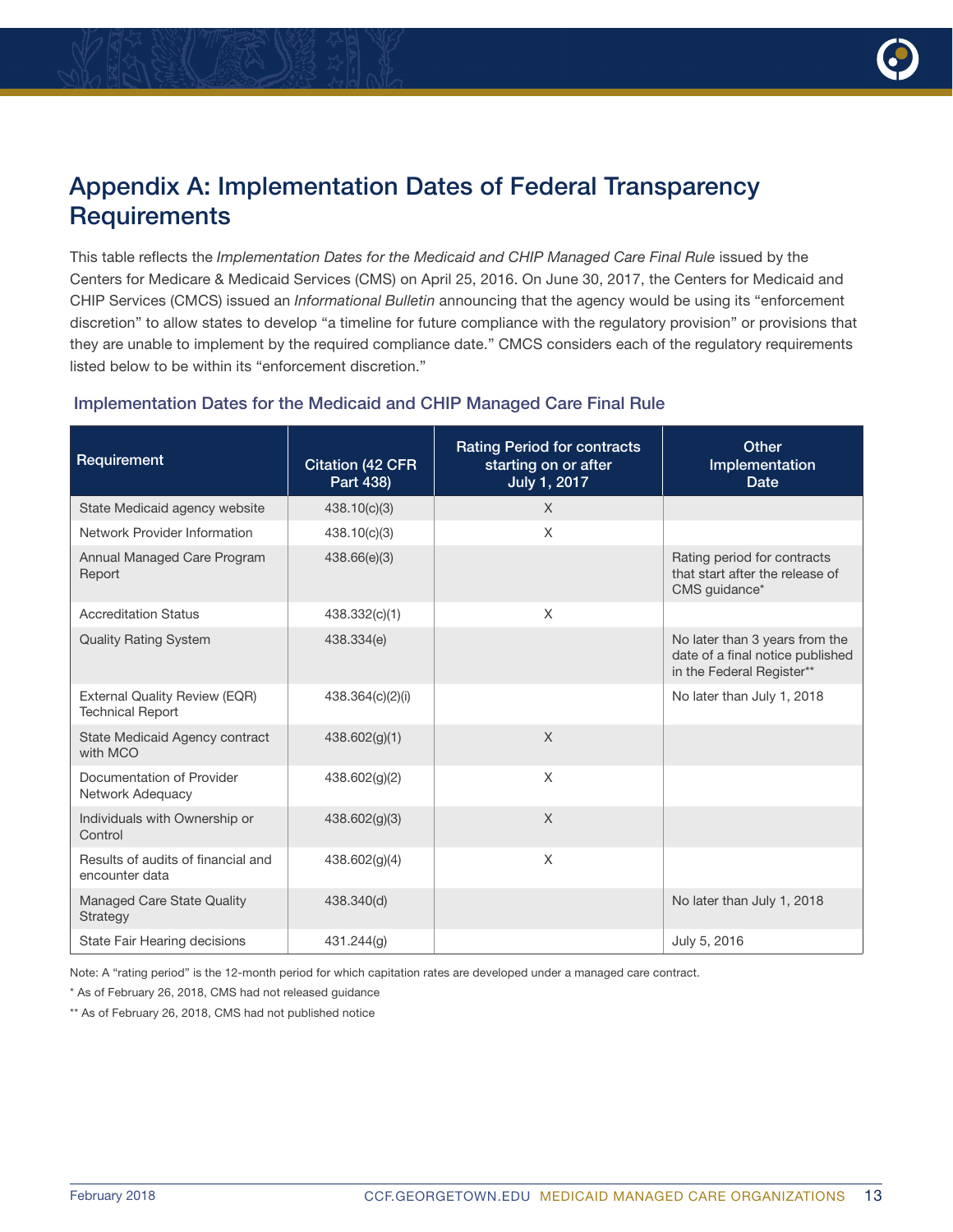

### Appendix A: Implementation Dates of Federal Transparency **Requirements**

This table reflects the *[Implementation Dates for the Medicaid and CHIP Managed Care Final Rule](https://www.medicaid.gov/medicaid/managed-care/downloads/implementation-dates.pdf)* issued by the Centers for Medicare & Medicaid Services (CMS) on April 25, 2016. On June 30, 2017, the Centers for Medicaid and CHIP Services (CMCS) issued an *[Informational Bulletin](https://www.medicaid.gov/federal-policy-guidance/downloads/cib063017.pdf)* announcing that the agency would be using its "enforcement discretion" to allow states to develop "a timeline for future compliance with the regulatory provision" or provisions that they are unable to implement by the required compliance date." CMCS considers each of the regulatory requirements listed below to be within its "enforcement discretion."

#### Implementation Dates for the Medicaid and CHIP Managed Care Final Rule

| Requirement                                              | <b>Citation (42 CFR)</b><br>Part 438) | <b>Rating Period for contracts</b><br>starting on or after<br>July 1, 2017 | Other<br>Implementation<br><b>Date</b>                                                          |
|----------------------------------------------------------|---------------------------------------|----------------------------------------------------------------------------|-------------------------------------------------------------------------------------------------|
| State Medicaid agency website                            | 438.10(c)(3)                          | X                                                                          |                                                                                                 |
| Network Provider Information                             | 438.10(c)(3)                          | X                                                                          |                                                                                                 |
| Annual Managed Care Program<br>Report                    | 438.66(e)(3)                          |                                                                            | Rating period for contracts<br>that start after the release of<br>CMS quidance*                 |
| <b>Accreditation Status</b>                              | 438.332(c)(1)                         | X                                                                          |                                                                                                 |
| <b>Quality Rating System</b>                             | 438.334(e)                            |                                                                            | No later than 3 years from the<br>date of a final notice published<br>in the Federal Register** |
| External Quality Review (EQR)<br><b>Technical Report</b> | 438.364(c)(2)(i)                      |                                                                            | No later than July 1, 2018                                                                      |
| State Medicaid Agency contract<br>with MCO               | 438.602(g)(1)                         | X                                                                          |                                                                                                 |
| Documentation of Provider<br>Network Adequacy            | 438.602(g)(2)                         | X                                                                          |                                                                                                 |
| Individuals with Ownership or<br>Control                 | 438.602(g)(3)                         | X                                                                          |                                                                                                 |
| Results of audits of financial and<br>encounter data     | 438.602(g)(4)                         | X                                                                          |                                                                                                 |
| Managed Care State Quality<br>Strategy                   | 438.340(d)                            |                                                                            | No later than July 1, 2018                                                                      |
| State Fair Hearing decisions                             | 431.244(q)                            |                                                                            | July 5, 2016                                                                                    |

Note: A "rating period" is the 12-month period for which capitation rates are developed under a managed care contract.

\* As of February 26, 2018, CMS had not released guidance

\*\* As of February 26, 2018, CMS had not published notice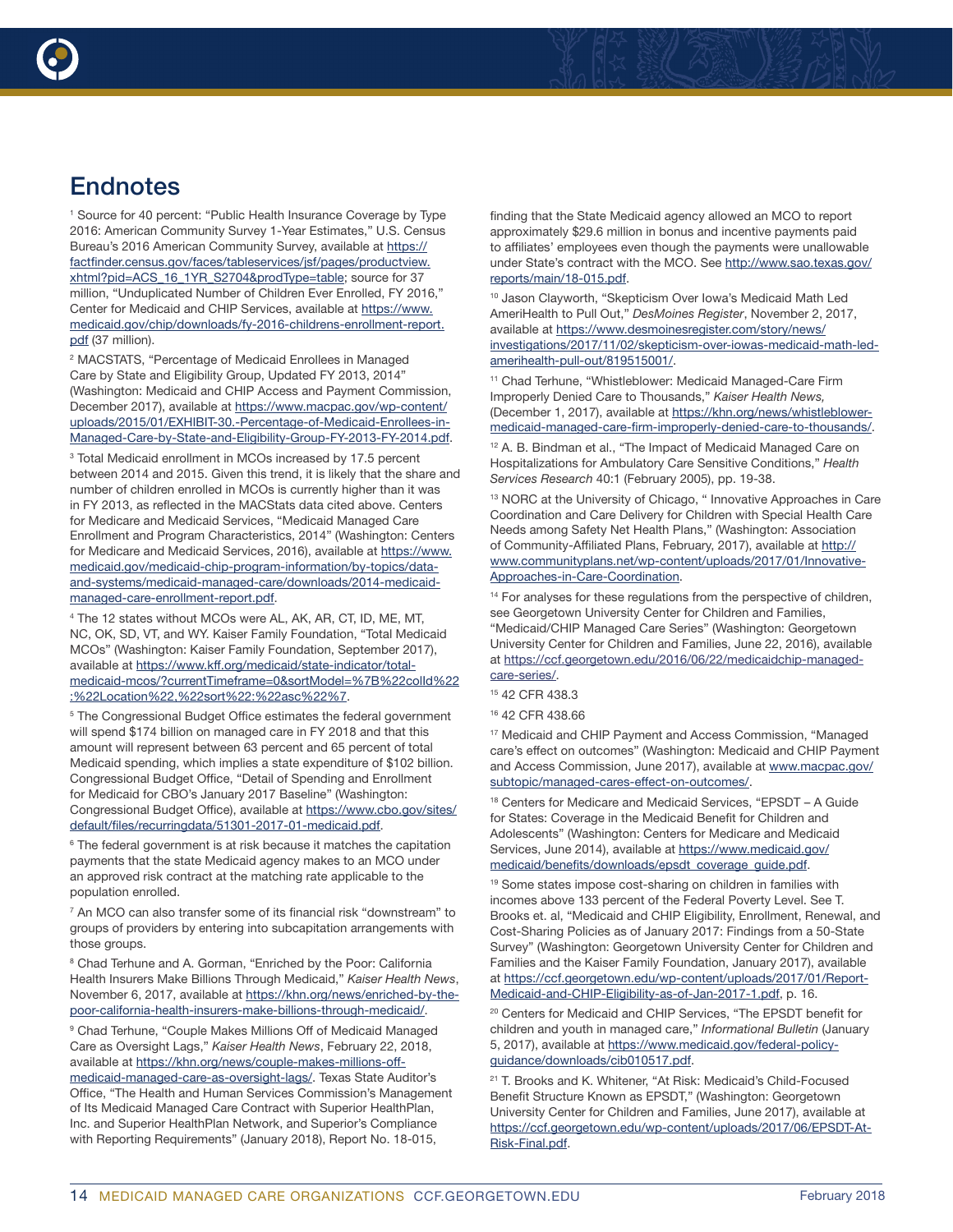

<sup>1</sup> Source for 40 percent: "Public Health Insurance Coverage by Type 2016: American Community Survey 1-Year Estimates," U.S. Census Bureau's 2016 American Community Survey, available at [https://](https://factfinder.census.gov/faces/tableservices/jsf/pages/productview.xhtml?pid=ACS_16_1YR_S2704&prodType=table) [factfinder.census.gov/faces/tableservices/jsf/pages/productview.](https://factfinder.census.gov/faces/tableservices/jsf/pages/productview.xhtml?pid=ACS_16_1YR_S2704&prodType=table) [xhtml?pid=ACS\\_16\\_1YR\\_S2704&prodType=table](https://factfinder.census.gov/faces/tableservices/jsf/pages/productview.xhtml?pid=ACS_16_1YR_S2704&prodType=table); source for 37 million, "Unduplicated Number of Children Ever Enrolled, FY 2016," Center for Medicaid and CHIP Services, available at [https://www.](https://www.medicaid.gov/chip/downloads/fy-2016-childrens-enrollment-report.pdf) [medicaid.gov/chip/downloads/fy-2016-childrens-enrollment-report.](https://www.medicaid.gov/chip/downloads/fy-2016-childrens-enrollment-report.pdf) [pdf](https://www.medicaid.gov/chip/downloads/fy-2016-childrens-enrollment-report.pdf) (37 million).

2 MACSTATS, "Percentage of Medicaid Enrollees in Managed Care by State and Eligibility Group, Updated FY 2013, 2014" (Washington: Medicaid and CHIP Access and Payment Commission, December 2017), available at [https://www.macpac.gov/wp-content/](https://www.macpac.gov/wp-content/uploads/2015/01/EXHIBIT-30.-Percentage-of-Medicaid-Enrollees-in-Managed-Care-by-State-and-Eligibility-Group-FY-2013-FY-2014.pdf) [uploads/2015/01/EXHIBIT-30.-Percentage-of-Medicaid-Enrollees-in-](https://www.macpac.gov/wp-content/uploads/2015/01/EXHIBIT-30.-Percentage-of-Medicaid-Enrollees-in-Managed-Care-by-State-and-Eligibility-Group-FY-2013-FY-2014.pdf)[Managed-Care-by-State-and-Eligibility-Group-FY-2013-FY-2014.pdf.](https://www.macpac.gov/wp-content/uploads/2015/01/EXHIBIT-30.-Percentage-of-Medicaid-Enrollees-in-Managed-Care-by-State-and-Eligibility-Group-FY-2013-FY-2014.pdf)

<sup>3</sup> Total Medicaid enrollment in MCOs increased by 17.5 percent between 2014 and 2015. Given this trend, it is likely that the share and number of children enrolled in MCOs is currently higher than it was in FY 2013, as reflected in the MACStats data cited above. Centers for Medicare and Medicaid Services, "Medicaid Managed Care Enrollment and Program Characteristics, 2014" (Washington: Centers for Medicare and Medicaid Services, 2016), available at [https://www.](https://www.medicaid.gov/medicaid-chip-program-information/by-topics/data-and-systems/medicaid-managed-care/downloads/2014-medicaid-managed-care-enrollment-report.pdf) [medicaid.gov/medicaid-chip-program-information/by-topics/data](https://www.medicaid.gov/medicaid-chip-program-information/by-topics/data-and-systems/medicaid-managed-care/downloads/2014-medicaid-managed-care-enrollment-report.pdf)[and-systems/medicaid-managed-care/downloads/2014-medicaid](https://www.medicaid.gov/medicaid-chip-program-information/by-topics/data-and-systems/medicaid-managed-care/downloads/2014-medicaid-managed-care-enrollment-report.pdf)[managed-care-enrollment-report.pdf](https://www.medicaid.gov/medicaid-chip-program-information/by-topics/data-and-systems/medicaid-managed-care/downloads/2014-medicaid-managed-care-enrollment-report.pdf).

4 The 12 states without MCOs were AL, AK, AR, CT, ID, ME, MT, NC, OK, SD, VT, and WY. Kaiser Family Foundation, "Total Medicaid MCOs" (Washington: Kaiser Family Foundation, September 2017), available at [https://www.kff.org/medicaid/state-indicator/total](https://www.kff.org/medicaid/state-indicator/total-medicaid-mcos/?currentTimeframe=0&sortModel=%7B%22colId%22:%22Location%22,%22sort%22:%22asc%22%7)[medicaid-mcos/?currentTimeframe=0&sortModel=%7B%22colId%22](https://www.kff.org/medicaid/state-indicator/total-medicaid-mcos/?currentTimeframe=0&sortModel=%7B%22colId%22:%22Location%22,%22sort%22:%22asc%22%7) [:%22Location%22,%22sort%22:%22asc%22%7.](https://www.kff.org/medicaid/state-indicator/total-medicaid-mcos/?currentTimeframe=0&sortModel=%7B%22colId%22:%22Location%22,%22sort%22:%22asc%22%7)

<sup>5</sup> The Congressional Budget Office estimates the federal government will spend \$174 billion on managed care in FY 2018 and that this amount will represent between 63 percent and 65 percent of total Medicaid spending, which implies a state expenditure of \$102 billion. Congressional Budget Office, "Detail of Spending and Enrollment for Medicaid for CBO's January 2017 Baseline" (Washington: Congressional Budget Office), available at [https://www.cbo.gov/sites/](https://www.cbo.gov/sites/default/files/recurringdata/51301-2017-01-medicaid.pdf) [default/files/recurringdata/51301-2017-01-medicaid.pdf](https://www.cbo.gov/sites/default/files/recurringdata/51301-2017-01-medicaid.pdf).

<sup>6</sup> The federal government is at risk because it matches the capitation payments that the state Medicaid agency makes to an MCO under an approved risk contract at the matching rate applicable to the population enrolled.

<sup>7</sup> An MCO can also transfer some of its financial risk "downstream" to groups of providers by entering into subcapitation arrangements with those groups.

<sup>8</sup> Chad Terhune and A. Gorman, "Enriched by the Poor: California Health Insurers Make Billions Through Medicaid," *Kaiser Health News*, November 6, 2017, available at [https://khn.org/news/enriched-by-the](https://khn.org/news/enriched-by-the-poor-california-health-insurers-make-billions-through-medicaid/)[poor-california-health-insurers-make-billions-through-medicaid/.](https://khn.org/news/enriched-by-the-poor-california-health-insurers-make-billions-through-medicaid/)

9 Chad Terhune, "Couple Makes Millions Off of Medicaid Managed Care as Oversight Lags," *Kaiser Health News*, February 22, 2018, available at [https://khn.org/news/couple-makes-millions-off](https://khn.org/news/couple-makes-millions-off-medicaid-managed-care-as-oversight-lags/)[medicaid-managed-care-as-oversight-lags/.](https://khn.org/news/couple-makes-millions-off-medicaid-managed-care-as-oversight-lags/) Texas State Auditor's Office, "The Health and Human Services Commission's Management of Its Medicaid Managed Care Contract with Superior HealthPlan, Inc. and Superior HealthPlan Network, and Superior's Compliance with Reporting Requirements" (January 2018), Report No. 18-015,

finding that the State Medicaid agency allowed an MCO to report approximately \$29.6 million in bonus and incentive payments paid to affiliates' employees even though the payments were unallowable under State's contract with the MCO. See [http://www.sao.texas.gov/](http://www.sao.texas.gov/reports/main/18-015.pdf) [reports/main/18-015.pdf](http://www.sao.texas.gov/reports/main/18-015.pdf).

<sup>10</sup> Jason Clayworth, "Skepticism Over Iowa's Medicaid Math Led AmeriHealth to Pull Out," *DesMoines Register*, November 2, 2017, available at [https://www.desmoinesregister.com/story/news/](https://www.desmoinesregister.com/story/news/investigations/2017/11/02/skepticism-over-iowas-medicaid-math-led-amerihealth-pull-out/819515001/) [investigations/2017/11/02/skepticism-over-iowas-medicaid-math-led](https://www.desmoinesregister.com/story/news/investigations/2017/11/02/skepticism-over-iowas-medicaid-math-led-amerihealth-pull-out/819515001/)[amerihealth-pull-out/819515001/.](https://www.desmoinesregister.com/story/news/investigations/2017/11/02/skepticism-over-iowas-medicaid-math-led-amerihealth-pull-out/819515001/)

<sup>11</sup> Chad Terhune, "Whistleblower: Medicaid Managed-Care Firm Improperly Denied Care to Thousands," *Kaiser Health News,* (December 1, 2017), available at [https://khn.org/news/whistleblower](https://khn.org/news/whistleblower-medicaid-managed-care-firm-improperly-denied-care-to-thousands/)[medicaid-managed-care-firm-improperly-denied-care-to-thousands/](https://khn.org/news/whistleblower-medicaid-managed-care-firm-improperly-denied-care-to-thousands/).

12 A. B. Bindman et al., "The Impact of Medicaid Managed Care on Hospitalizations for Ambulatory Care Sensitive Conditions," *Health Services Research* 40:1 (February 2005), pp. 19-38.

<sup>13</sup> NORC at the University of Chicago, " Innovative Approaches in Care Coordination and Care Delivery for Children with Special Health Care Needs among Safety Net Health Plans," (Washington: Association of Community-Affiliated Plans, February, 2017), available at [http://](http://www.communityplans.net/wp-content/uploads/2017/01/Innovative-Approaches-in-Care-Coordination) [www.communityplans.net/wp-content/uploads/2017/01/Innovative-](http://www.communityplans.net/wp-content/uploads/2017/01/Innovative-Approaches-in-Care-Coordination)[Approaches-in-Care-Coordination.](http://www.communityplans.net/wp-content/uploads/2017/01/Innovative-Approaches-in-Care-Coordination)

<sup>14</sup> For analyses for these regulations from the perspective of children, see Georgetown University Center for Children and Families, "Medicaid/CHIP Managed Care Series" (Washington: Georgetown University Center for Children and Families, June 22, 2016), available at [https://ccf.georgetown.edu/2016/06/22/medicaidchip-managed](https://ccf.georgetown.edu/2016/06/22/medicaidchip-managed-care-series/)[care-series/](https://ccf.georgetown.edu/2016/06/22/medicaidchip-managed-care-series/).

<sup>17</sup> Medicaid and CHIP Payment and Access Commission, "Managed care's effect on outcomes" (Washington: Medicaid and CHIP Payment and Access Commission, June 2017), available at [www.macpac.gov/](www.macpac.gov/subtopic/managed-cares-effect-on-outcomes/) [subtopic/managed-cares-effect-on-outcomes/](www.macpac.gov/subtopic/managed-cares-effect-on-outcomes/).

<sup>18</sup> Centers for Medicare and Medicaid Services, "EPSDT - A Guide for States: Coverage in the Medicaid Benefit for Children and Adolescents" (Washington: Centers for Medicare and Medicaid Services, June 2014), available at [https://www.medicaid.gov/](https://www.medicaid.gov/medicaid/benefits/downloads/epsdt_coverage_guide.pdf) [medicaid/benefits/downloads/epsdt\\_coverage\\_guide.pdf.](https://www.medicaid.gov/medicaid/benefits/downloads/epsdt_coverage_guide.pdf)

<sup>19</sup> Some states impose cost-sharing on children in families with incomes above 133 percent of the Federal Poverty Level. See T. Brooks et. al, "Medicaid and CHIP Eligibility, Enrollment, Renewal, and Cost-Sharing Policies as of January 2017: Findings from a 50-State Survey" (Washington: Georgetown University Center for Children and Families and the Kaiser Family Foundation, January 2017), available at [https://ccf.georgetown.edu/wp-content/uploads/2017/01/Report-](https://ccf.georgetown.edu/wp-content/uploads/2017/01/Report-Medicaid-and-CHIP-Eligibility-as-of-Jan-2017-1.pdf)[Medicaid-and-CHIP-Eligibility-as-of-Jan-2017-1.pdf,](https://ccf.georgetown.edu/wp-content/uploads/2017/01/Report-Medicaid-and-CHIP-Eligibility-as-of-Jan-2017-1.pdf) p. 16.

<sup>20</sup> Centers for Medicaid and CHIP Services, "The EPSDT benefit for children and youth in managed care," *Informational Bulletin* (January 5, 2017), available at [https://www.medicaid.gov/federal-policy](https://www.medicaid.gov/federal-policy-guidance/downloads/cib010517.pdf)[guidance/downloads/cib010517.pdf](https://www.medicaid.gov/federal-policy-guidance/downloads/cib010517.pdf).

<sup>21</sup> T. Brooks and K. Whitener, "At Risk: Medicaid's Child-Focused Benefit Structure Known as EPSDT," (Washington: Georgetown University Center for Children and Families, June 2017), available at [https://ccf.georgetown.edu/wp-content/uploads/2017/06/EPSDT-At-](https://ccf.georgetown.edu/wp-content/uploads/2017/06/EPSDT-At-Risk-Final.pdf)[Risk-Final.pdf](https://ccf.georgetown.edu/wp-content/uploads/2017/06/EPSDT-At-Risk-Final.pdf).

<sup>15 42</sup> CFR 438.3

<sup>16 42</sup> CFR 438.66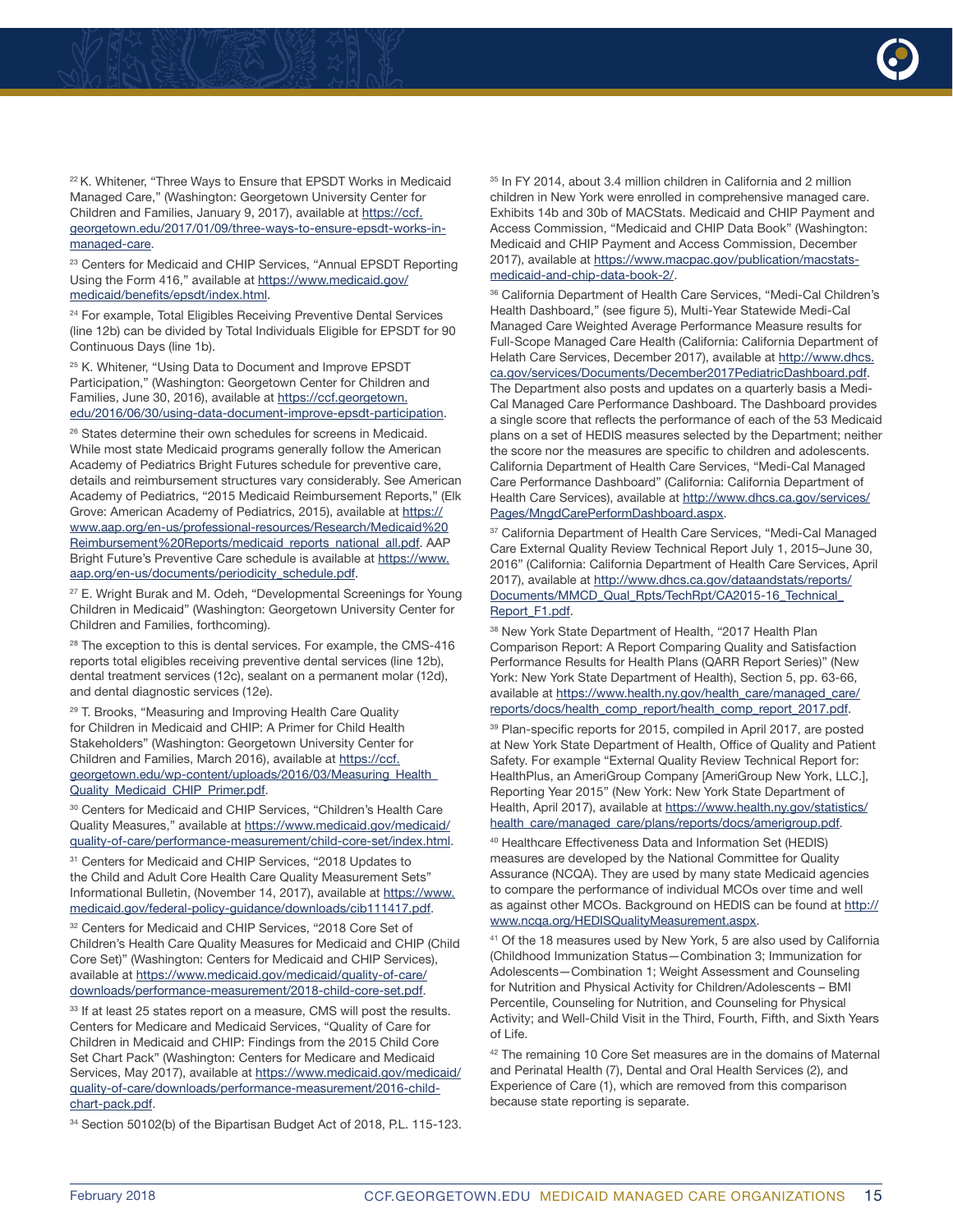

<sup>22</sup> K. Whitener, "Three Ways to Ensure that EPSDT Works in Medicaid Managed Care," (Washington: Georgetown University Center for Children and Families, January 9, 2017), available at [https://ccf.](https://ccf.georgetown.edu/2017/01/09/three-ways-to-ensure-epsdt-works-in-managed-care) [georgetown.edu/2017/01/09/three-ways-to-ensure-epsdt-works-in](https://ccf.georgetown.edu/2017/01/09/three-ways-to-ensure-epsdt-works-in-managed-care)[managed-care](https://ccf.georgetown.edu/2017/01/09/three-ways-to-ensure-epsdt-works-in-managed-care).

<sup>23</sup> Centers for Medicaid and CHIP Services, "Annual EPSDT Reporting Using the Form 416," available at [https://www.medicaid.gov/](https://www.medicaid.gov/medicaid/benefits/epsdt/index.html) [medicaid/benefits/epsdt/index.html.](https://www.medicaid.gov/medicaid/benefits/epsdt/index.html)

<sup>24</sup> For example, Total Eligibles Receiving Preventive Dental Services (line 12b) can be divided by Total Individuals Eligible for EPSDT for 90 Continuous Days (line 1b).

<sup>25</sup> K. Whitener, "Using Data to Document and Improve EPSDT Participation," (Washington: Georgetown Center for Children and Families, June 30, 2016), available at [https://ccf.georgetown.](https://ccf.georgetown.edu/2016/06/30/using-data-document-improve-epsdt-participation) [edu/2016/06/30/using-data-document-improve-epsdt-participation](https://ccf.georgetown.edu/2016/06/30/using-data-document-improve-epsdt-participation).

<sup>26</sup> States determine their own schedules for screens in Medicaid. While most state Medicaid programs generally follow the American Academy of Pediatrics Bright Futures schedule for preventive care, details and reimbursement structures vary considerably. See American Academy of Pediatrics, "2015 Medicaid Reimbursement Reports," (Elk Grove: American Academy of Pediatrics, 2015), available at [https://](https://www.aap.org/en-us/professional-resources/Research/Medicaid%20Reimbursement%20Reports/medicaid_reports_national_all.pdf) [www.aap.org/en-us/professional-resources/Research/Medicaid%20](https://www.aap.org/en-us/professional-resources/Research/Medicaid%20Reimbursement%20Reports/medicaid_reports_national_all.pdf) [Reimbursement%20Reports/medicaid\\_reports\\_national\\_all.pdf.](https://www.aap.org/en-us/professional-resources/Research/Medicaid%20Reimbursement%20Reports/medicaid_reports_national_all.pdf) AAP Bright Future's Preventive Care schedule is available at [https://www.](https://www.aap.org/en-us/documents/periodicity_schedule.pdf) [aap.org/en-us/documents/periodicity\\_schedule.pdf](https://www.aap.org/en-us/documents/periodicity_schedule.pdf).

<sup>27</sup> E. Wright Burak and M. Odeh, "Developmental Screenings for Young Children in Medicaid" (Washington: Georgetown University Center for Children and Families, forthcoming).

 $28$  The exception to this is dental services. For example, the CMS-416 reports total eligibles receiving preventive dental services (line 12b), dental treatment services (12c), sealant on a permanent molar (12d), and dental diagnostic services (12e).

<sup>29</sup> T. Brooks, "Measuring and Improving Health Care Quality for Children in Medicaid and CHIP: A Primer for Child Health Stakeholders" (Washington: Georgetown University Center for Children and Families, March 2016), available at [https://ccf.](https://ccf.georgetown.edu/wp-content/uploads/2016/03/Measuring_Health_Quality_Medicaid_CHIP_Primer.pdf) [georgetown.edu/wp-content/uploads/2016/03/Measuring\\_Health\\_](https://ccf.georgetown.edu/wp-content/uploads/2016/03/Measuring_Health_Quality_Medicaid_CHIP_Primer.pdf) [Quality\\_Medicaid\\_CHIP\\_Primer.pdf](https://ccf.georgetown.edu/wp-content/uploads/2016/03/Measuring_Health_Quality_Medicaid_CHIP_Primer.pdf).

<sup>30</sup> Centers for Medicaid and CHIP Services, "Children's Health Care Quality Measures," available at [https://www.medicaid.gov/medicaid/](https://www.medicaid.gov/medicaid/quality-of-care/performance-measurement/child-core-set/index.html) [quality-of-care/performance-measurement/child-core-set/index.html](https://www.medicaid.gov/medicaid/quality-of-care/performance-measurement/child-core-set/index.html).

<sup>31</sup> Centers for Medicaid and CHIP Services, "2018 Updates to the Child and Adult Core Health Care Quality Measurement Sets" Informational Bulletin, (November 14, 2017), available at [https://www.](https://www.medicaid.gov/federal-policy-guidance/downloads/cib111417.pdf) [medicaid.gov/federal-policy-guidance/downloads/cib111417.pdf.](https://www.medicaid.gov/federal-policy-guidance/downloads/cib111417.pdf)

<sup>32</sup> Centers for Medicaid and CHIP Services, "2018 Core Set of Children's Health Care Quality Measures for Medicaid and CHIP (Child Core Set)" (Washington: Centers for Medicaid and CHIP Services), available at [https://www.medicaid.gov/medicaid/quality-of-care/](https://www.medicaid.gov/medicaid/quality-of-care/downloads/performance-measurement/2018-child-core-set.pdf) [downloads/performance-measurement/2018-child-core-set.pdf.](https://www.medicaid.gov/medicaid/quality-of-care/downloads/performance-measurement/2018-child-core-set.pdf)

<sup>33</sup> If at least 25 states report on a measure, CMS will post the results. Centers for Medicare and Medicaid Services, "Quality of Care for Children in Medicaid and CHIP: Findings from the 2015 Child Core Set Chart Pack" (Washington: Centers for Medicare and Medicaid Services, May 2017), available at [https://www.medicaid.gov/medicaid/](https://www.medicaid.gov/medicaid/quality-of-care/downloads/performance-measurement/2016-child-chart-pack.pdf) [quality-of-care/downloads/performance-measurement/2016-child](https://www.medicaid.gov/medicaid/quality-of-care/downloads/performance-measurement/2016-child-chart-pack.pdf)[chart-pack.pdf.](https://www.medicaid.gov/medicaid/quality-of-care/downloads/performance-measurement/2016-child-chart-pack.pdf)

34 Section 50102(b) of the Bipartisan Budget Act of 2018, P.L. 115-123.

<sup>35</sup> In FY 2014, about 3.4 million children in California and 2 million children in New York were enrolled in comprehensive managed care. Exhibits 14b and 30b of MACStats. Medicaid and CHIP Payment and Access Commission, "Medicaid and CHIP Data Book" (Washington: Medicaid and CHIP Payment and Access Commission, December 2017), available at [https://www.macpac.gov/publication/macstats](https://www.macpac.gov/publication/macstats-medicaid-and-chip-data-book-2/)[medicaid-and-chip-data-book-2/](https://www.macpac.gov/publication/macstats-medicaid-and-chip-data-book-2/).

36 California Department of Health Care Services, "Medi-Cal Children's Health Dashboard," (see figure 5), Multi-Year Statewide Medi-Cal Managed Care Weighted Average Performance Measure results for Full-Scope Managed Care Health (California: California Department of Helath Care Services, December 2017), available at [http://www.dhcs.](http://www.dhcs.ca.gov/services/Documents/December2017PediatricDashboard.pdf) [ca.gov/services/Documents/December2017PediatricDashboard.pdf](http://www.dhcs.ca.gov/services/Documents/December2017PediatricDashboard.pdf). The Department also posts and updates on a quarterly basis a Medi-Cal Managed Care Performance Dashboard. The Dashboard provides a single score that reflects the performance of each of the 53 Medicaid plans on a set of HEDIS measures selected by the Department; neither the score nor the measures are specific to children and adolescents. California Department of Health Care Services, "Medi-Cal Managed Care Performance Dashboard" (California: California Department of Health Care Services), available at [http://www.dhcs.ca.gov/services/](http://www.dhcs.ca.gov/services/Pages/MngdCarePerformDashboard.aspx) [Pages/MngdCarePerformDashboard.aspx.](http://www.dhcs.ca.gov/services/Pages/MngdCarePerformDashboard.aspx)

<sup>37</sup> California Department of Health Care Services, "Medi-Cal Managed Care External Quality Review Technical Report July 1, 2015–June 30, 2016" (California: California Department of Health Care Services, April 2017), available at [http://www.dhcs.ca.gov/dataandstats/reports/](http://www.dhcs.ca.gov/dataandstats/reports/Documents/MMCD_Qual_Rpts/TechRpt/CA2015-16_Technical_Report_F1.pdf) [Documents/MMCD\\_Qual\\_Rpts/TechRpt/CA2015-16\\_Technical\\_](http://www.dhcs.ca.gov/dataandstats/reports/Documents/MMCD_Qual_Rpts/TechRpt/CA2015-16_Technical_Report_F1.pdf) [Report\\_F1.pdf](http://www.dhcs.ca.gov/dataandstats/reports/Documents/MMCD_Qual_Rpts/TechRpt/CA2015-16_Technical_Report_F1.pdf).

38 New York State Department of Health, "2017 Health Plan Comparison Report: A Report Comparing Quality and Satisfaction Performance Results for Health Plans (QARR Report Series)" (New York: New York State Department of Health), Section 5, pp. 63-66, available at [https://www.health.ny.gov/health\\_care/managed\\_care/](https://www.health.ny.gov/health_care/managed_care/reports/docs/health_comp_report/health_comp_report_2017.pdf) [reports/docs/health\\_comp\\_report/health\\_comp\\_report\\_2017.pdf.](https://www.health.ny.gov/health_care/managed_care/reports/docs/health_comp_report/health_comp_report_2017.pdf)

<sup>39</sup> Plan-specific reports for 2015, compiled in April 2017, are posted at New York State Department of Health, Office of Quality and Patient Safety. For example "External Quality Review Technical Report for: HealthPlus, an AmeriGroup Company [AmeriGroup New York, LLC.], Reporting Year 2015" (New York: New York State Department of Health, April 2017), available at [https://www.health.ny.gov/statistics/](https://www.health.ny.gov/statistics/health_care/managed_care/plans/reports/docs/amerigroup.pdf) [health\\_care/managed\\_care/plans/reports/docs/amerigroup.pdf](https://www.health.ny.gov/statistics/health_care/managed_care/plans/reports/docs/amerigroup.pdf).

40 Healthcare Effectiveness Data and Information Set (HEDIS) measures are developed by the National Committee for Quality Assurance (NCQA). They are used by many state Medicaid agencies to compare the performance of individual MCOs over time and well as against other MCOs. Background on HEDIS can be found at [http://](http://www.ncqa.org/HEDISQualityMeasurement.aspx) [www.ncqa.org/HEDISQualityMeasurement.aspx](http://www.ncqa.org/HEDISQualityMeasurement.aspx).

<sup>41</sup> Of the 18 measures used by New York, 5 are also used by California (Childhood Immunization Status—Combination 3; Immunization for Adolescents—Combination 1; Weight Assessment and Counseling for Nutrition and Physical Activity for Children/Adolescents – BMI Percentile, Counseling for Nutrition, and Counseling for Physical Activity; and Well-Child Visit in the Third, Fourth, Fifth, and Sixth Years of Life.

<sup>42</sup> The remaining 10 Core Set measures are in the domains of Maternal and Perinatal Health (7), Dental and Oral Health Services (2), and Experience of Care (1), which are removed from this comparison because state reporting is separate.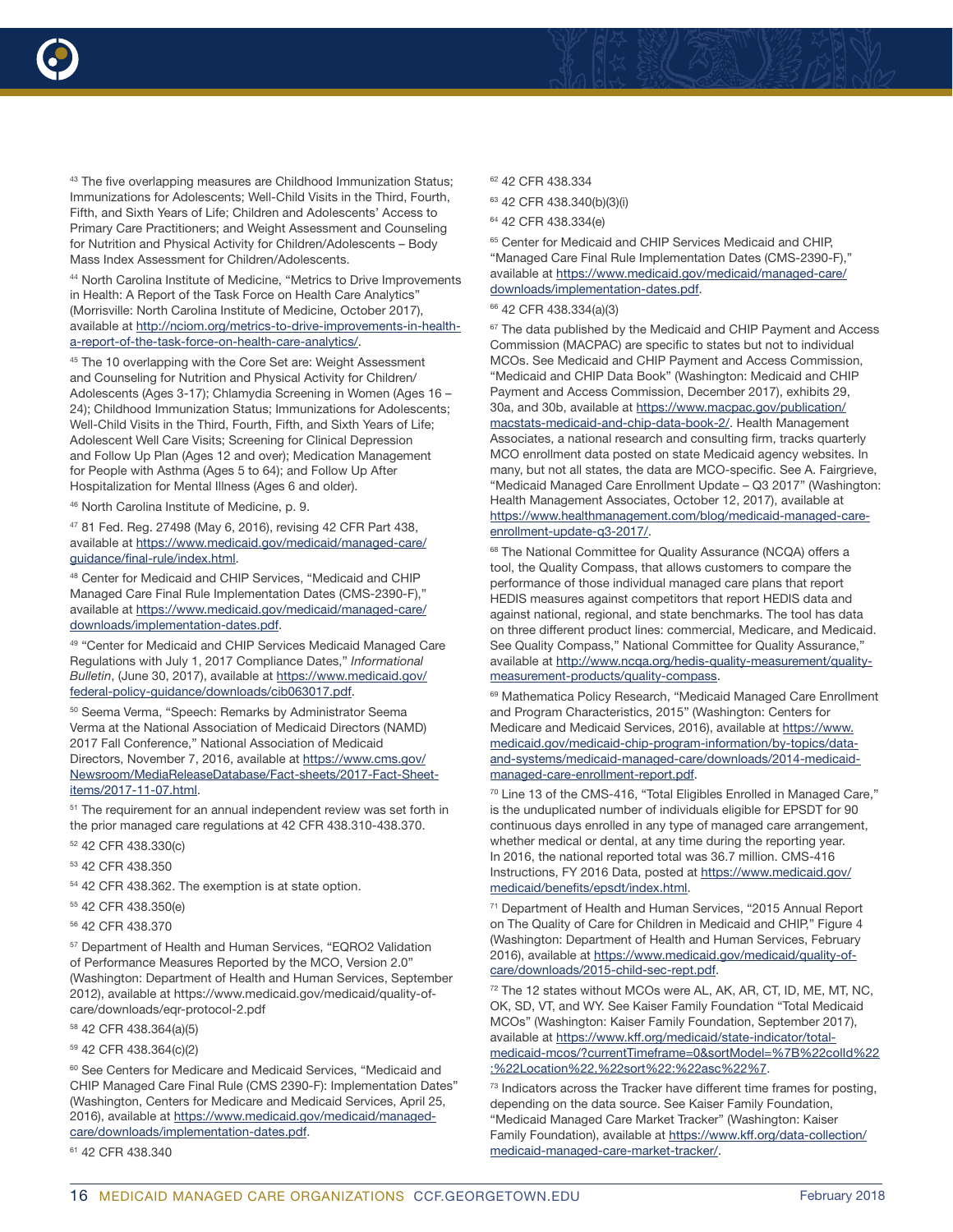



43 The five overlapping measures are Childhood Immunization Status; Immunizations for Adolescents; Well-Child Visits in the Third, Fourth, Fifth, and Sixth Years of Life; Children and Adolescents' Access to Primary Care Practitioners; and Weight Assessment and Counseling for Nutrition and Physical Activity for Children/Adolescents – Body Mass Index Assessment for Children/Adolescents.

44 North Carolina Institute of Medicine, "Metrics to Drive Improvements in Health: A Report of the Task Force on Health Care Analytics" (Morrisville: North Carolina Institute of Medicine, October 2017), available at [http://nciom.org/metrics-to-drive-improvements-in-health](http://nciom.org/metrics-to-drive-improvements-in-health-a-report-of-the-task-force-on-health-care-analytics/)[a-report-of-the-task-force-on-health-care-analytics/](http://nciom.org/metrics-to-drive-improvements-in-health-a-report-of-the-task-force-on-health-care-analytics/).

<sup>45</sup> The 10 overlapping with the Core Set are: Weight Assessment and Counseling for Nutrition and Physical Activity for Children/ Adolescents (Ages 3-17); Chlamydia Screening in Women (Ages 16 – 24); Childhood Immunization Status; Immunizations for Adolescents; Well-Child Visits in the Third, Fourth, Fifth, and Sixth Years of Life; Adolescent Well Care Visits; Screening for Clinical Depression and Follow Up Plan (Ages 12 and over); Medication Management for People with Asthma (Ages 5 to 64); and Follow Up After Hospitalization for Mental Illness (Ages 6 and older).

46 North Carolina Institute of Medicine, p. 9.

47 81 Fed. Reg. 27498 (May 6, 2016), revising 42 CFR Part 438, available at [https://www.medicaid.gov/medicaid/managed-care/](https://www.medicaid.gov/medicaid/managed-care/guidance/final-rule/index.html) [guidance/final-rule/index.html](https://www.medicaid.gov/medicaid/managed-care/guidance/final-rule/index.html).

48 Center for Medicaid and CHIP Services, "Medicaid and CHIP Managed Care Final Rule Implementation Dates (CMS-2390-F)," available at [https://www.medicaid.gov/medicaid/managed-care/](https://www.medicaid.gov/medicaid/managed-care/downloads/implementation-dates.pdf) [downloads/implementation-dates.pdf](https://www.medicaid.gov/medicaid/managed-care/downloads/implementation-dates.pdf).

49 "Center for Medicaid and CHIP Services Medicaid Managed Care Regulations with July 1, 2017 Compliance Dates," *Informational Bulletin*, (June 30, 2017), available at [https://www.medicaid.gov/](https://www.medicaid.gov/federal-policy-guidance/downloads/cib063017.pdf) [federal-policy-guidance/downloads/cib063017.pdf.](https://www.medicaid.gov/federal-policy-guidance/downloads/cib063017.pdf)

<sup>50</sup> Seema Verma, "Speech: Remarks by Administrator Seema Verma at the National Association of Medicaid Directors (NAMD) 2017 Fall Conference," National Association of Medicaid Directors, November 7, 2016, available at [https://www.cms.gov/](https://www.cms.gov/Newsroom/MediaReleaseDatabase/Fact-sheets/2017-Fact-Sheet-items/2017-11-07.html) [Newsroom/MediaReleaseDatabase/Fact-sheets/2017-Fact-Sheet](https://www.cms.gov/Newsroom/MediaReleaseDatabase/Fact-sheets/2017-Fact-Sheet-items/2017-11-07.html)[items/2017-11-07.html.](https://www.cms.gov/Newsroom/MediaReleaseDatabase/Fact-sheets/2017-Fact-Sheet-items/2017-11-07.html)

 $51$  The requirement for an annual independent review was set forth in the prior managed care regulations at 42 CFR 438.310-438.370.

52 42 CFR 438.330(c)

53 42 CFR 438.350

54 42 CFR 438.362. The exemption is at state option.

55 42 CFR 438.350(e)

56 42 CFR 438.370

57 Department of Health and Human Services, "EQRO2 Validation of Performance Measures Reported by the MCO, Version 2.0" (Washington: Department of Health and Human Services, September 2012), available at https://www.medicaid.gov/medicaid/quality-ofcare/downloads/eqr-protocol-2.pdf

58 42 CFR 438.364(a)(5)

59 42 CFR 438.364(c)(2)

<sup>60</sup> See Centers for Medicare and Medicaid Services, "Medicaid and CHIP Managed Care Final Rule (CMS 2390-F): Implementation Dates" (Washington, Centers for Medicare and Medicaid Services, April 25, 2016), available at [https://www.medicaid.gov/medicaid/managed](https://www.medicaid.gov/medicaid/managed-care/downloads/implementation-dates.pdf)[care/downloads/implementation-dates.pdf](https://www.medicaid.gov/medicaid/managed-care/downloads/implementation-dates.pdf).

61 42 CFR 438.340

62 42 CFR 438.334

63 42 CFR 438.340(b)(3)(i)

64 42 CFR 438.334(e)

<sup>65</sup> Center for Medicaid and CHIP Services Medicaid and CHIP, "Managed Care Final Rule Implementation Dates (CMS-2390-F)," available at [https://www.medicaid.gov/medicaid/managed-care/](https://www.medicaid.gov/medicaid/managed-care/downloads/implementation-dates.pdf) [downloads/implementation-dates.pdf](https://www.medicaid.gov/medicaid/managed-care/downloads/implementation-dates.pdf).

66 42 CFR 438.334(a)(3)

<sup>67</sup> The data published by the Medicaid and CHIP Payment and Access Commission (MACPAC) are specific to states but not to individual MCOs. See Medicaid and CHIP Payment and Access Commission, "Medicaid and CHIP Data Book" (Washington: Medicaid and CHIP Payment and Access Commission, December 2017), exhibits 29, 30a, and 30b, available at [https://www.macpac.gov/publication/](https://www.macpac.gov/publication/macstats-medicaid-and-chip-data-book-2/) [macstats-medicaid-and-chip-data-book-2/.](https://www.macpac.gov/publication/macstats-medicaid-and-chip-data-book-2/) Health Management Associates, a national research and consulting firm, tracks quarterly MCO enrollment data posted on state Medicaid agency websites. In many, but not all states, the data are MCO-specific. See A. Fairgrieve, "Medicaid Managed Care Enrollment Update – Q3 2017" (Washington: Health Management Associates, October 12, 2017), available at [https://www.healthmanagement.com/blog/medicaid-managed-care](https://www.healthmanagement.com/blog/medicaid-managed-care-enrollment-update-q3-2017/)[enrollment-update-q3-2017/.](https://www.healthmanagement.com/blog/medicaid-managed-care-enrollment-update-q3-2017/)

68 The National Committee for Quality Assurance (NCQA) offers a tool, the Quality Compass, that allows customers to compare the performance of those individual managed care plans that report HEDIS measures against competitors that report HEDIS data and against national, regional, and state benchmarks. The tool has data on three different product lines: commercial, Medicare, and Medicaid. See Quality Compass," National Committee for Quality Assurance," available at [http://www.ncqa.org/hedis-quality-measurement/quality](http://www.ncqa.org/hedis-quality-measurement/quality-measurement-products/quality-compass)[measurement-products/quality-compass.](http://www.ncqa.org/hedis-quality-measurement/quality-measurement-products/quality-compass)

69 Mathematica Policy Research, "Medicaid Managed Care Enrollment and Program Characteristics, 2015" (Washington: Centers for Medicare and Medicaid Services, 2016), available at [https://www.](https://www.medicaid.gov/medicaid-chip-program-information/by-topics/data-and-systems/medicaid-managed-care/downloads/2014-medicaid-managed-care-enrollment-report.pdf) [medicaid.gov/medicaid-chip-program-information/by-topics/data](https://www.medicaid.gov/medicaid-chip-program-information/by-topics/data-and-systems/medicaid-managed-care/downloads/2014-medicaid-managed-care-enrollment-report.pdf)[and-systems/medicaid-managed-care/downloads/2014-medicaid](https://www.medicaid.gov/medicaid-chip-program-information/by-topics/data-and-systems/medicaid-managed-care/downloads/2014-medicaid-managed-care-enrollment-report.pdf)[managed-care-enrollment-report.pdf](https://www.medicaid.gov/medicaid-chip-program-information/by-topics/data-and-systems/medicaid-managed-care/downloads/2014-medicaid-managed-care-enrollment-report.pdf).

70 Line 13 of the CMS-416, "Total Eligibles Enrolled in Managed Care," is the unduplicated number of individuals eligible for EPSDT for 90 continuous days enrolled in any type of managed care arrangement, whether medical or dental, at any time during the reporting year. In 2016, the national reported total was 36.7 million. CMS-416 Instructions, FY 2016 Data, posted at [https://www.medicaid.gov/](https://www.medicaid.gov/medicaid/benefits/epsdt/index.html) [medicaid/benefits/epsdt/index.html.](https://www.medicaid.gov/medicaid/benefits/epsdt/index.html)

71 Department of Health and Human Services, "2015 Annual Report on The Quality of Care for Children in Medicaid and CHIP," Figure 4 (Washington: Department of Health and Human Services, February 2016), available at [https://www.medicaid.gov/medicaid/quality-of](https://www.medicaid.gov/medicaid/quality-of-care/downloads/2015-child-sec-rept.pdf)[care/downloads/2015-child-sec-rept.pdf.](https://www.medicaid.gov/medicaid/quality-of-care/downloads/2015-child-sec-rept.pdf)

72 The 12 states without MCOs were AL, AK, AR, CT, ID, ME, MT, NC, OK, SD, VT, and WY. See Kaiser Family Foundation "Total Medicaid MCOs" (Washington: Kaiser Family Foundation, September 2017), available at [https://www.kff.org/medicaid/state-indicator/total](https://www.kff.org/medicaid/state-indicator/total-medicaid-mcos/?currentTimeframe=0&sortModel=%7B%22colId%22:%22Location%22,%22sort%22:%22asc%22%7)[medicaid-mcos/?currentTimeframe=0&sortModel=%7B%22colId%22](https://www.kff.org/medicaid/state-indicator/total-medicaid-mcos/?currentTimeframe=0&sortModel=%7B%22colId%22:%22Location%22,%22sort%22:%22asc%22%7) [:%22Location%22,%22sort%22:%22asc%22%7.](https://www.kff.org/medicaid/state-indicator/total-medicaid-mcos/?currentTimeframe=0&sortModel=%7B%22colId%22:%22Location%22,%22sort%22:%22asc%22%7)

<sup>73</sup> Indicators across the Tracker have different time frames for posting, depending on the data source. See Kaiser Family Foundation, "Medicaid Managed Care Market Tracker" (Washington: Kaiser Family Foundation), available at [https://www.kff.org/data-collection/](https://www.kff.org/data-collection/medicaid-managed-care-market-tracker/) [medicaid-managed-care-market-tracker/](https://www.kff.org/data-collection/medicaid-managed-care-market-tracker/).